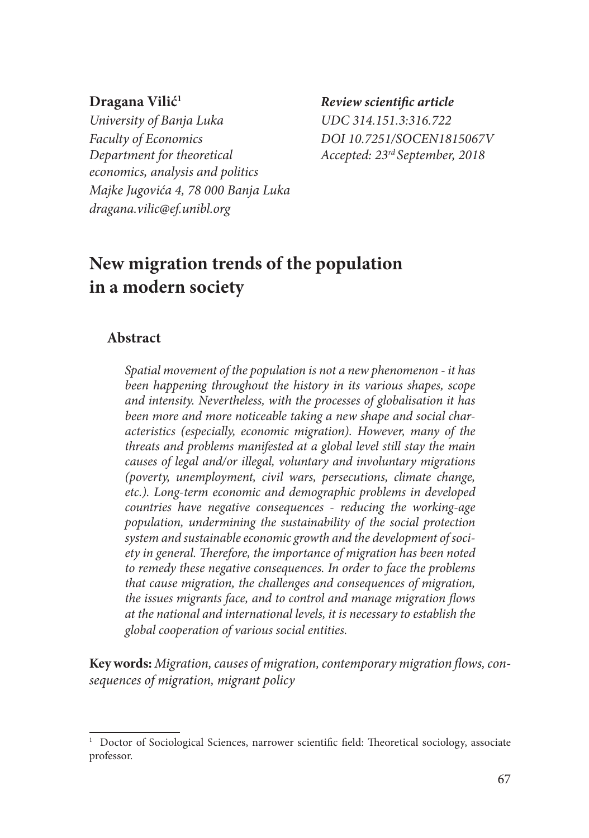*University of Banja Luka UDC 314.151.3:316.722 Faculty of Economics DOI 10.7251/SOCEN1815067V Department for theoretical Accepted: 23rd September, 2018 economics, analysis and politics Majke Jugovića 4, 78 000 Banja Luka dragana.vilic@ef.unibl.org*

**Dragana Vilić1** *Review scientific article*

# **New migration trends of the population in a modern society**

#### **Abstract**

*Spatial movement of the population is not a new phenomenon - it has been happening throughout the history in its various shapes, scope and intensity. Nevertheless, with the processes of globalisation it has been more and more noticeable taking a new shape and social characteristics (especially, economic migration). However, many of the threats and problems manifested at a global level still stay the main causes of legal and/or illegal, voluntary and involuntary migrations (poverty, unemployment, civil wars, persecutions, climate change, etc.). Long-term economic and demographic problems in developed countries have negative consequences - reducing the working-age population, undermining the sustainability of the social protection system and sustainable economic growth and the development of society in general. Therefore, the importance of migration has been noted to remedy these negative consequences. In order to face the problems that cause migration, the challenges and consequences of migration, the issues migrants face, and to control and manage migration flows at the national and international levels, it is necessary to establish the global cooperation of various social entities.*

**Key words:** *Migration, causes of migration, contemporary migration flows, consequences of migration, migrant policy*

<sup>&</sup>lt;sup>1</sup> Doctor of Sociological Sciences, narrower scientific field: Theoretical sociology, associate professor.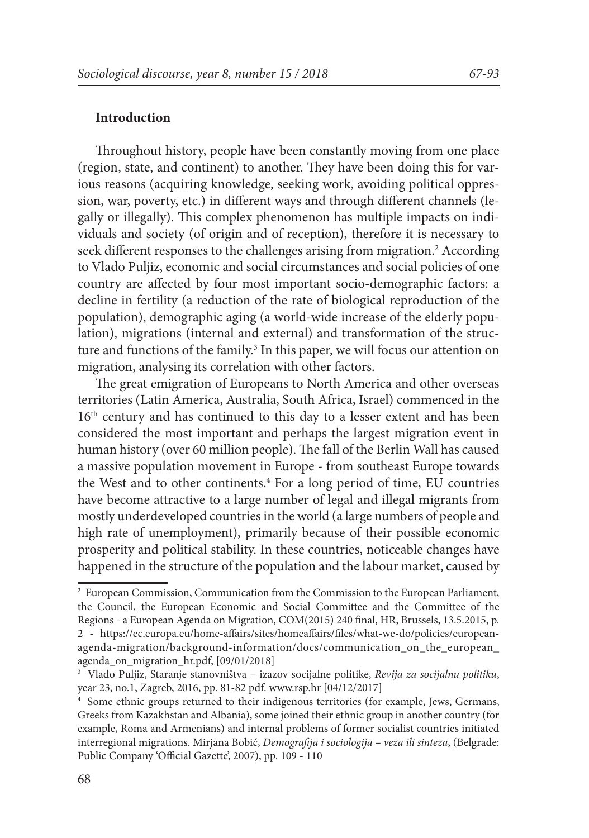#### **Introduction**

Throughout history, people have been constantly moving from one place (region, state, and continent) to another. They have been doing this for various reasons (acquiring knowledge, seeking work, avoiding political oppression, war, poverty, etc.) in different ways and through different channels (legally or illegally). This complex phenomenon has multiple impacts on individuals and society (of origin and of reception), therefore it is necessary to seek different responses to the challenges arising from migration.<sup>2</sup> According to Vlado Puljiz, economic and social circumstances and social policies of one country are affected by four most important socio-demographic factors: a decline in fertility (a reduction of the rate of biological reproduction of the population), demographic aging (a world-wide increase of the elderly population), migrations (internal and external) and transformation of the structure and functions of the family.<sup>3</sup> In this paper, we will focus our attention on migration, analysing its correlation with other factors.

The great emigration of Europeans to North America and other overseas territories (Latin America, Australia, South Africa, Israel) commenced in the 16<sup>th</sup> century and has continued to this day to a lesser extent and has been considered the most important and perhaps the largest migration event in human history (over 60 million people). The fall of the Berlin Wall has caused a massive population movement in Europe - from southeast Europe towards the West and to other continents.4 For a long period of time, EU countries have become attractive to a large number of legal and illegal migrants from mostly underdeveloped countries in the world (a large numbers of people and high rate of unemployment), primarily because of their possible economic prosperity and political stability. In these countries, noticeable changes have happened in the structure of the population and the labour market, caused by

<sup>2</sup> European Commission, Communication from the Commission to the European Parliament, the Council, the European Economic and Social Committee and the Committee of the Regions - a European Agenda on Migration, COM(2015) 240 final, HR, Brussels, 13.5.2015, p. 2 - https://ec.europa.eu/home-affairs/sites/homeaffairs/files/what-we-do/policies/europeanagenda-migration/background-information/docs/communication\_on\_the\_european\_ agenda\_on\_migration\_hr.pdf, [09/01/2018]

<sup>3</sup> Vlado Puljiz, Staranje stanovništva – izazov socijalne politike, *Revija za socijalnu politiku*, year 23, no.1, Zagreb, 2016, pp. 81-82 pdf. www.rsp.hr [04/12/2017]

<sup>4</sup> Some ethnic groups returned to their indigenous territories (for example, Jews, Germans, Greeks from Kazakhstan and Albania), some joined their ethnic group in another country (for example, Roma and Armenians) and internal problems of former socialist countries initiated interregional migrations. Mirjana Bobić, *Demografija i sociologija – veza ili sinteza*, (Belgrade: Public Company 'Official Gazette', 2007), pp. 109 - 110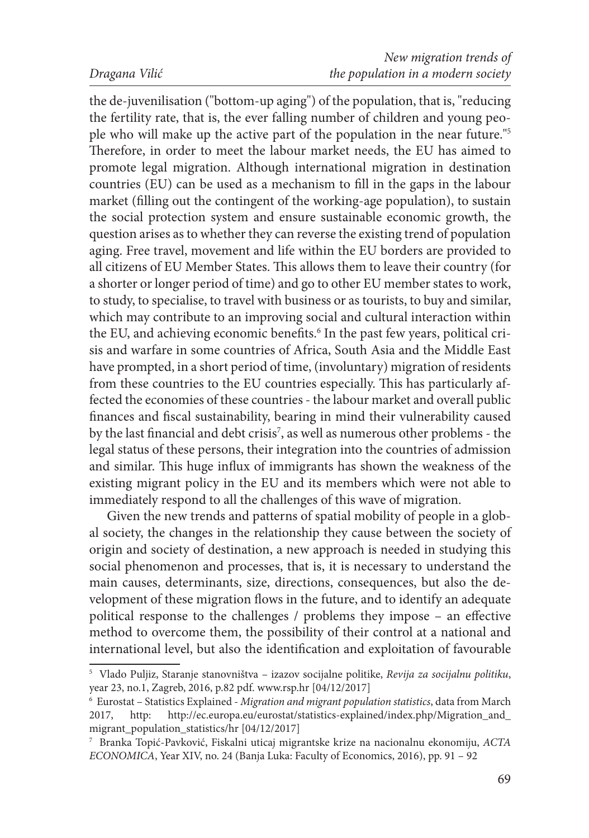the de-juvenilisation ("bottom-up aging") of the population, that is, "reducing the fertility rate, that is, the ever falling number of children and young people who will make up the active part of the population in the near future."5 Therefore, in order to meet the labour market needs, the EU has aimed to promote legal migration. Although international migration in destination countries (EU) can be used as a mechanism to fill in the gaps in the labour market (filling out the contingent of the working-age population), to sustain the social protection system and ensure sustainable economic growth, the question arises as to whether they can reverse the existing trend of population aging. Free travel, movement and life within the EU borders are provided to all citizens of EU Member States. This allows them to leave their country (for a shorter or longer period of time) and go to other EU member states to work, to study, to specialise, to travel with business or as tourists, to buy and similar, which may contribute to an improving social and cultural interaction within the EU, and achieving economic benefits.<sup>6</sup> In the past few years, political crisis and warfare in some countries of Africa, South Asia and the Middle East have prompted, in a short period of time, (involuntary) migration of residents from these countries to the EU countries especially. This has particularly affected the economies of these countries - the labour market and overall public finances and fiscal sustainability, bearing in mind their vulnerability caused by the last financial and debt crisis7 , as well as numerous other problems - the legal status of these persons, their integration into the countries of admission and similar. This huge influx of immigrants has shown the weakness of the existing migrant policy in the EU and its members which were not able to immediately respond to all the challenges of this wave of migration.

Given the new trends and patterns of spatial mobility of people in a global society, the changes in the relationship they cause between the society of origin and society of destination, a new approach is needed in studying this social phenomenon and processes, that is, it is necessary to understand the main causes, determinants, size, directions, consequences, but also the development of these migration flows in the future, and to identify an adequate political response to the challenges / problems they impose – an effective method to overcome them, the possibility of their control at a national and international level, but also the identification and exploitation of favourable

<sup>5</sup> Vlado Puljiz, Staranje stanovništva – izazov socijalne politike, *Revija za socijalnu politiku*, year 23, no.1, Zagreb, 2016, p.82 pdf. www.rsp.hr [04/12/2017]

<sup>6</sup> Eurostat – Statistics Explained - *Migration and migrant population statistics*, data from March 2017, http: http://ec.europa.eu/eurostat/statistics-explained/index.php/Migration\_and\_ migrant\_population\_statistics/hr [04/12/2017]

<sup>7</sup> Branka Topić-Pavković, Fiskalni uticaj migrantske krize na nacionalnu ekonomiju, *ACTA ECONOMICA*, Year XIV, no. 24 (Banja Luka: Faculty of Economics, 2016), pp. 91 – 92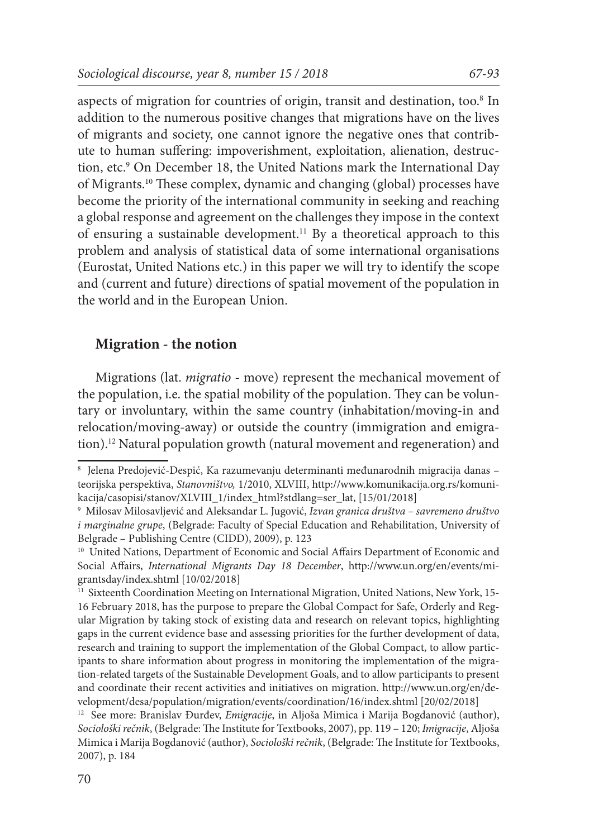aspects of migration for countries of origin, transit and destination, too.8 In addition to the numerous positive changes that migrations have on the lives of migrants and society, one cannot ignore the negative ones that contribute to human suffering: impoverishment, exploitation, alienation, destruction, etc.9 On December 18, the United Nations mark the International Day of Migrants.10 These complex, dynamic and changing (global) processes have become the priority of the international community in seeking and reaching a global response and agreement on the challenges they impose in the context of ensuring a sustainable development.11 By a theoretical approach to this problem and analysis of statistical data of some international organisations (Eurostat, United Nations etc.) in this paper we will try to identify the scope and (current and future) directions of spatial movement of the population in the world and in the European Union.

#### **Migration - the notion**

Migrations (lat. *migratio* - move) represent the mechanical movement of the population, i.e. the spatial mobility of the population. They can be voluntary or involuntary, within the same country (inhabitation/moving-in and relocation/moving-away) or outside the country (immigration and emigration).<sup>12</sup> Natural population growth (natural movement and regeneration) and

<sup>8</sup> Jelena Predojević-Despić, Ka razumevanju determinanti međunarodnih migracija danas – teorijska perspektiva, *Stanovništvo,* 1/2010, XLVIII, http://www.komunikacija.org.rs/komunikacija/casopisi/stanov/XLVIII\_1/index\_html?stdlang=ser\_lat, [15/01/2018]

<sup>9</sup> Milosav Milosavljević and Aleksandar L. Jugović, *Izvan granica društva – savremeno društvo i marginalne grupe*, (Belgrade: Faculty of Special Education and Rehabilitation, University of Belgrade – Publishing Centre (CIDD), 2009), p. 123

<sup>&</sup>lt;sup>10</sup> United Nations, Department of Economic and Social Affairs Department of Economic and Social Affairs, *International Migrants Day 18 December*, http://www.un.org/en/events/migrantsday/index.shtml [10/02/2018]

<sup>&</sup>lt;sup>11</sup> Sixteenth Coordination Meeting on International Migration, United Nations, New York, 15-16 February 2018, has the purpose to prepare the Global Compact for Safe, Orderly and Regular Migration by taking stock of existing data and research on relevant topics, highlighting gaps in the current evidence base and assessing priorities for the further development of data, research and training to support the implementation of the Global Compact, to allow participants to share information about progress in monitoring the implementation of the migration-related targets of the Sustainable Development Goals, and to allow participants to present and coordinate their recent activities and initiatives on migration. http://www.un.org/en/development/desa/population/migration/events/coordination/16/index.shtml [20/02/2018]

<sup>12</sup> See more: Branislav Đurđev, *Emigracije*, in Aljoša Mimica i Marija Bogdanović (author), *Sociološki rečnik*, (Belgrade: The Institute for Textbooks, 2007), pp. 119 – 120; *Imigracije*, Aljoša Mimica i Marija Bogdanović (author), *Sociološki rečnik*, (Belgrade: The Institute for Textbooks, 2007), p. 184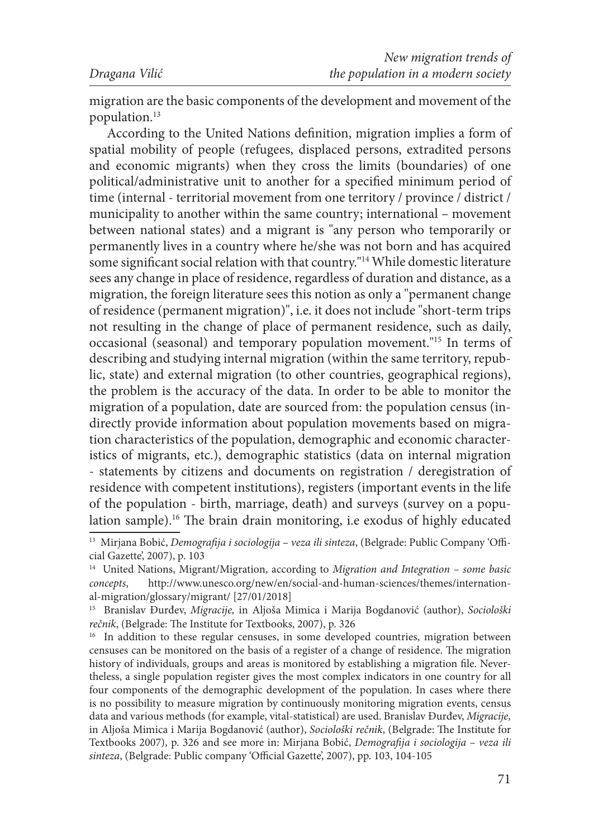migration are the basic components of the development and movement of the population.13

According to the United Nations definition, migration implies a form of spatial mobility of people (refugees, displaced persons, extradited persons and economic migrants) when they cross the limits (boundaries) of one political/administrative unit to another for a specified minimum period of time (internal - territorial movement from one territory / province / district / municipality to another within the same country; international – movement between national states) and a migrant is "any person who temporarily or permanently lives in a country where he/she was not born and has acquired some significant social relation with that country."14 While domestic literature sees any change in place of residence, regardless of duration and distance, as a migration, the foreign literature sees this notion as only a "permanent change of residence (permanent migration)", i.e. it does not include "short-term trips not resulting in the change of place of permanent residence, such as daily, occasional (seasonal) and temporary population movement."15 In terms of describing and studying internal migration (within the same territory, republic, state) and external migration (to other countries, geographical regions), the problem is the accuracy of the data. In order to be able to monitor the migration of a population, date are sourced from: the population census (indirectly provide information about population movements based on migration characteristics of the population, demographic and economic characteristics of migrants, etc.), demographic statistics (data on internal migration - statements by citizens and documents on registration / deregistration of residence with competent institutions), registers (important events in the life of the population - birth, marriage, death) and surveys (survey on a population sample).16 The brain drain monitoring, i.e exodus of highly educated

<sup>13</sup> Mirjana Bobić, *Demografija i sociologija – veza ili sinteza*, (Belgrade: Public Company 'Official Gazette', 2007), p. 103

<sup>14</sup> United Nations, Migrant/Migration, according to *Migration and Integration – some basic concepts*, http://www.unesco.org/new/en/social-and-human-sciences/themes/international-migration/glossary/migrant/ [27/01/2018]

<sup>15</sup> Branislav Đurđev, *Migracije,* in Aljoša Mimica i Marija Bogdanović (author), *Sociološki rečnik*, (Belgrade: The Institute for Textbooks, 2007), p. 326

<sup>&</sup>lt;sup>16</sup> In addition to these regular censuses, in some developed countries, migration between censuses can be monitored on the basis of a register of a change of residence. The migration history of individuals, groups and areas is monitored by establishing a migration file. Nevertheless, a single population register gives the most complex indicators in one country for all four components of the demographic development of the population. In cases where there is no possibility to measure migration by continuously monitoring migration events, census data and various methods (for example, vital-statistical) are used. Branislav Đurđev, *Migracije,*  in Aljoša Mimica i Marija Bogdanović (author), *Sociološki rečnik*, (Belgrade: The Institute for Textbooks 2007), p. 326 and see more in: Mirjana Bobić, *Demografija i sociologija – veza ili sinteza*, (Belgrade: Public company 'Official Gazette', 2007), pp. 103, 104-105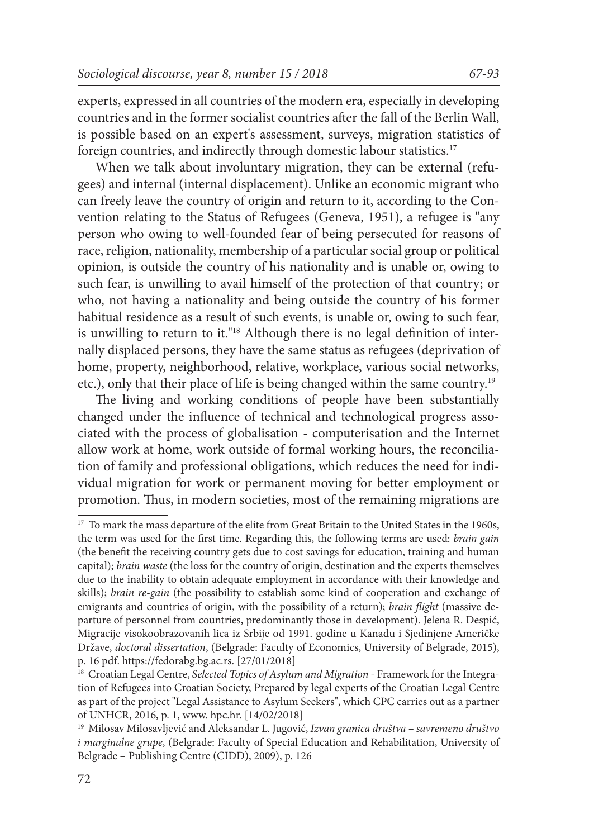experts, expressed in all countries of the modern era, especially in developing countries and in the former socialist countries after the fall of the Berlin Wall, is possible based on an expert's assessment, surveys, migration statistics of foreign countries, and indirectly through domestic labour statistics.17

When we talk about involuntary migration, they can be external (refugees) and internal (internal displacement). Unlike an economic migrant who can freely leave the country of origin and return to it, according to the Convention relating to the Status of Refugees (Geneva, 1951), a refugee is "any person who owing to well-founded fear of being persecuted for reasons of race, religion, nationality, membership of a particular social group or political opinion, is outside the country of his nationality and is unable or, owing to such fear, is unwilling to avail himself of the protection of that country; or who, not having a nationality and being outside the country of his former habitual residence as a result of such events, is unable or, owing to such fear, is unwilling to return to it."18 Although there is no legal definition of internally displaced persons, they have the same status as refugees (deprivation of home, property, neighborhood, relative, workplace, various social networks, etc.), only that their place of life is being changed within the same country.19

The living and working conditions of people have been substantially changed under the influence of technical and technological progress associated with the process of globalisation - computerisation and the Internet allow work at home, work outside of formal working hours, the reconciliation of family and professional obligations, which reduces the need for individual migration for work or permanent moving for better employment or promotion. Thus, in modern societies, most of the remaining migrations are

 $^{17}\,$  To mark the mass departure of the elite from Great Britain to the United States in the 1960s, the term was used for the first time. Regarding this, the following terms are used: *brain gain* (the benefit the receiving country gets due to cost savings for education, training and human capital); *brain waste* (the loss for the country of origin, destination and the experts themselves due to the inability to obtain adequate employment in accordance with their knowledge and skills); *brain re-gain* (the possibility to establish some kind of cooperation and exchange of emigrants and countries of origin, with the possibility of a return); *brain flight* (massive departure of personnel from countries, predominantly those in development). Jelena R. Despić, Migracije visokoobrazovanih lica iz Srbije od 1991. godine u Kanadu i Sjedinjene Američke Države, *doctoral dissertation*, (Belgrade: Faculty of Economics, University of Belgrade, 2015), p. 16 pdf. https://fedorabg.bg.ac.rs. [27/01/2018]

<sup>18</sup> Croatian Legal Centre, *Selected Topics of Asylum and Migration* - Framework for the Integration of Refugees into Croatian Society, Prepared by legal experts of the Croatian Legal Centre as part of the project "Legal Assistance to Asylum Seekers", which CPC carries out as a partner of UNHCR, 2016, p. 1, www. hpc.hr. [14/02/2018]

<sup>19</sup> Milosav Milosavljević and Aleksandar L. Jugović, *Izvan granica društva – savremeno društvo i marginalne grupe*, (Belgrade: Faculty of Special Education and Rehabilitation, University of Belgrade – Publishing Centre (CIDD), 2009), p. 126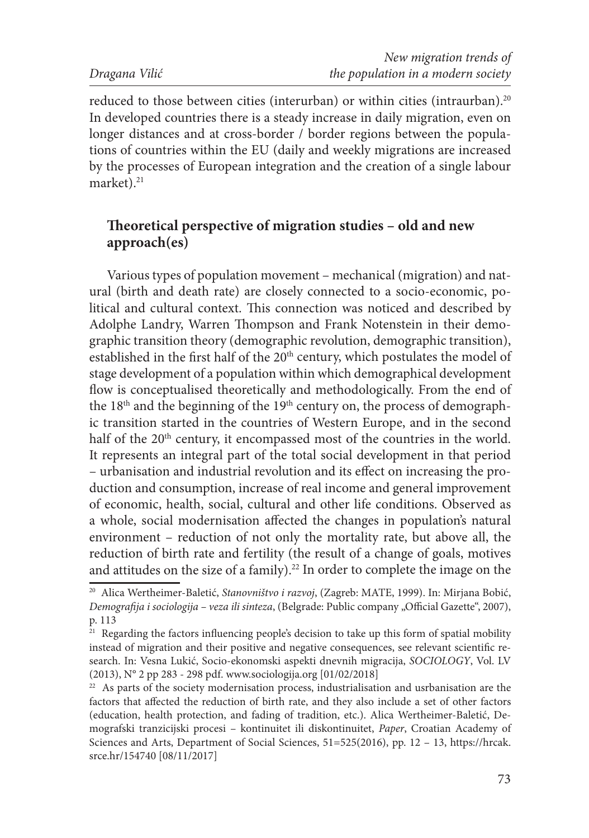reduced to those between cities (interurban) or within cities (intraurban).<sup>20</sup> In developed countries there is a steady increase in daily migration, even on longer distances and at cross-border / border regions between the populations of countries within the EU (daily and weekly migrations are increased by the processes of European integration and the creation of a single labour market). $21$ 

# **Theoretical perspective of migration studies – old and new approach(es)**

Various types of population movement – mechanical (migration) and natural (birth and death rate) are closely connected to a socio-economic, political and cultural context. This connection was noticed and described by Adolphe Landry, Warren Thompson and Frank Notenstein in their demographic transition theory (demographic revolution, demographic transition), established in the first half of the 20<sup>th</sup> century, which postulates the model of stage development of a population within which demographical development flow is conceptualised theoretically and methodologically. From the end of the 18<sup>th</sup> and the beginning of the 19<sup>th</sup> century on, the process of demographic transition started in the countries of Western Europe, and in the second half of the 20<sup>th</sup> century, it encompassed most of the countries in the world. It represents an integral part of the total social development in that period – urbanisation and industrial revolution and its effect on increasing the production and consumption, increase of real income and general improvement of economic, health, social, cultural and other life conditions. Observed as a whole, social modernisation affected the changes in population's natural environment – reduction of not only the mortality rate, but above all, the reduction of birth rate and fertility (the result of a change of goals, motives and attitudes on the size of a family).<sup>22</sup> In order to complete the image on the

<sup>20</sup> Alica Wertheimer-Baletić, *Stanovništvo i razvoj*, (Zagreb: MATE, 1999). In: Mirjana Bobić, *Demografija i sociologija – veza ili sinteza*, (Belgrade: Public company "Official Gazette", 2007), p. 113

 $21$  Regarding the factors influencing people's decision to take up this form of spatial mobility instead of migration and their positive and negative consequences, see relevant scientific research. In: Vesna Lukić, Socio-ekonomski aspekti dnevnih migracija, *SOCIOLOGY*, Vol. LV (2013), N° 2 pp 283 - 298 pdf. www.sociologija.org [01/02/2018]

 $22$  As parts of the society modernisation process, industrialisation and usrbanisation are the factors that affected the reduction of birth rate, and they also include a set of other factors (education, health protection, and fading of tradition, etc.). Alica Wertheimer-Baletić, Demografski tranzicijski procesi – kontinuitet ili diskontinuitet, *Paper*, Croatian Academy of Sciences and Arts, Department of Social Sciences, 51=525(2016), pp. 12 – 13, https://hrcak. srce.hr/154740 [08/11/2017]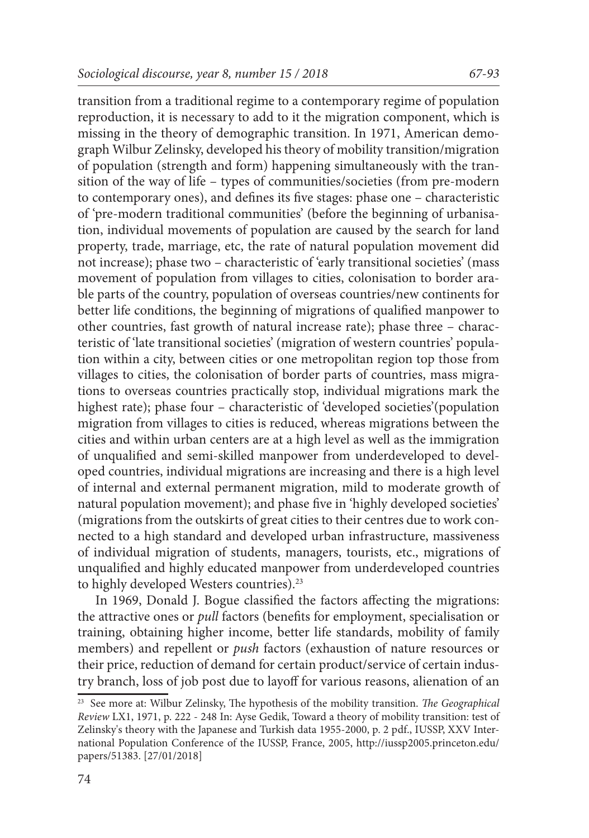transition from a traditional regime to a contemporary regime of population reproduction, it is necessary to add to it the migration component, which is missing in the theory of demographic transition. In 1971, American demograph Wilbur Zelinsky, developed his theory of mobility transition/migration of population (strength and form) happening simultaneously with the transition of the way of life – types of communities/societies (from pre-modern to contemporary ones), and defines its five stages: phase one – characteristic of 'pre-modern traditional communities' (before the beginning of urbanisation, individual movements of population are caused by the search for land property, trade, marriage, etc, the rate of natural population movement did not increase); phase two – characteristic of 'early transitional societies' (mass movement of population from villages to cities, colonisation to border arable parts of the country, population of overseas countries/new continents for better life conditions, the beginning of migrations of qualified manpower to other countries, fast growth of natural increase rate); phase three – characteristic of 'late transitional societies' (migration of western countries' population within a city, between cities or one metropolitan region top those from villages to cities, the colonisation of border parts of countries, mass migrations to overseas countries practically stop, individual migrations mark the highest rate); phase four – characteristic of 'developed societies'(population migration from villages to cities is reduced, whereas migrations between the cities and within urban centers are at a high level as well as the immigration of unqualified and semi-skilled manpower from underdeveloped to developed countries, individual migrations are increasing and there is a high level of internal and external permanent migration, mild to moderate growth of natural population movement); and phase five in 'highly developed societies' (migrations from the outskirts of great cities to their centres due to work connected to a high standard and developed urban infrastructure, massiveness of individual migration of students, managers, tourists, etc., migrations of unqualified and highly educated manpower from underdeveloped countries to highly developed Westers countries).<sup>23</sup>

In 1969, Donald J. Bogue classified the factors affecting the migrations: the attractive ones or *pull* factors (benefits for employment, specialisation or training, obtaining higher income, better life standards, mobility of family members) and repellent or *push* factors (exhaustion of nature resources or their price, reduction of demand for certain product/service of certain industry branch, loss of job post due to layoff for various reasons, alienation of an

<sup>23</sup> See more at: Wilbur Zelinsky, The hypothesis of the mobility transition. *The Geographical Review* LX1, 1971, p. 222 - 248 In: Ayse Gedik, Toward a theory of mobility transition: test of Zelinsky's theory with the Japanese and Turkish data 1955-2000, p. 2 pdf., IUSSP, XXV International Population Conference of the IUSSP, France, 2005, http://iussp2005.princeton.edu/ papers/51383. [27/01/2018]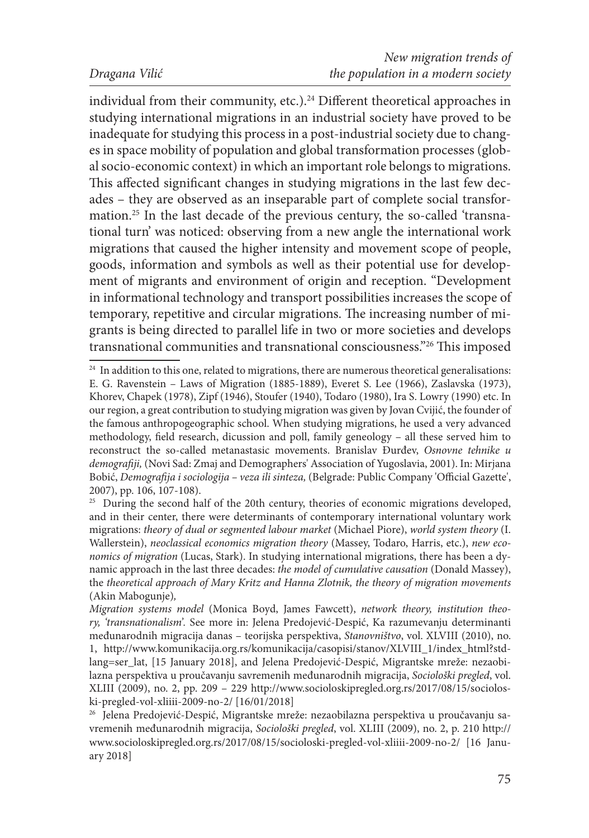individual from their community, etc.).<sup>24</sup> Different theoretical approaches in studying international migrations in an industrial society have proved to be inadequate for studying this process in a post-industrial society due to changes in space mobility of population and global transformation processes (global socio-economic context) in which an important role belongs to migrations. This affected significant changes in studying migrations in the last few decades – they are observed as an inseparable part of complete social transformation.25 In the last decade of the previous century, the so-called 'transnational turn' was noticed: observing from a new angle the international work migrations that caused the higher intensity and movement scope of people, goods, information and symbols as well as their potential use for development of migrants and environment of origin and reception. "Development in informational technology and transport possibilities increases the scope of temporary, repetitive and circular migrations. The increasing number of migrants is being directed to parallel life in two or more societies and develops transnational communities and transnational consciousness."26 This imposed

<sup>&</sup>lt;sup>24</sup> In addition to this one, related to migrations, there are numerous theoretical generalisations: E. G. Ravenstein – Laws of Migration (1885-1889), Everet S. Lee (1966), Zaslavska (1973), Khorev, Chapek (1978), Zipf (1946), Stoufer (1940), Todaro (1980), Ira S. Lowry (1990) etc. In our region, a great contribution to studying migration was given by Jovan Cvijić, the founder of the famous anthropogeographic school. When studying migrations, he used a very advanced methodology, field research, dicussion and poll, family geneology – all these served him to reconstruct the so-called metanastasic movements. Branislav Đurđev, *Osnovne tehnike u demografiji,* (Novi Sad: Zmaj and Demographers' Association of Yugoslavia, 2001). In: Mirjana Bobić, *Demografija i sociologija – veza ili sinteza,* (Belgrade: Public Company 'Official Gazette', 2007), pp. 106, 107-108).

<sup>&</sup>lt;sup>25</sup> During the second half of the 20th century, theories of economic migrations developed, and in their center, there were determinants of contemporary international voluntary work migrations: *theory of dual or segmented labour market* (Michael Piore), *world system theory* (I. Wallerstein), *neoclassical economics migration theory* (Massey, Todaro, Harris, etc.), *new economics of migration* (Lucas, Stark). In studying international migrations, there has been a dynamic approach in the last three decades: *the model of cumulative causation* (Donald Massey), the *theoretical approach of Mary Kritz and Hanna Zlotnik, the theory of migration movements*  (Akin Mabogunje)*,*

*Migration systems model* (Monica Boyd, James Fawcett), *network theory, institution theory, 'transnationalism'.* See more in: Jelena Predojević-Despić, Ka razumevanju determinanti međunarodnih migracija danas – teorijska perspektiva, *Stanovništvo*, vol. XLVIII (2010), no. 1, http://www.komunikacija.org.rs/komunikacija/casopisi/stanov/XLVIII\_1/index\_html?stdlang=ser\_lat, [15 January 2018], and Jelena Predojević-Despić, Migrantske mreže: nezaobilazna perspektiva u proučavanju savremenih međunarodnih migracija, *Sociološki pregled*, vol. XLIII (2009), no. 2, pp. 209 – 229 http://www.socioloskipregled.org.rs/2017/08/15/socioloski-pregled-vol-xliiii-2009-no-2/ [16/01/2018]

<sup>26</sup> Jelena Predojević-Despić, Migrantske mreže: nezaobilazna perspektiva u proučavanju savremenih međunarodnih migracija, *Sociološki pregled*, vol. XLIII (2009), no. 2, p. 210 http:// www.socioloskipregled.org.rs/2017/08/15/socioloski-pregled-vol-xliiii-2009-no-2/ [16 January 2018]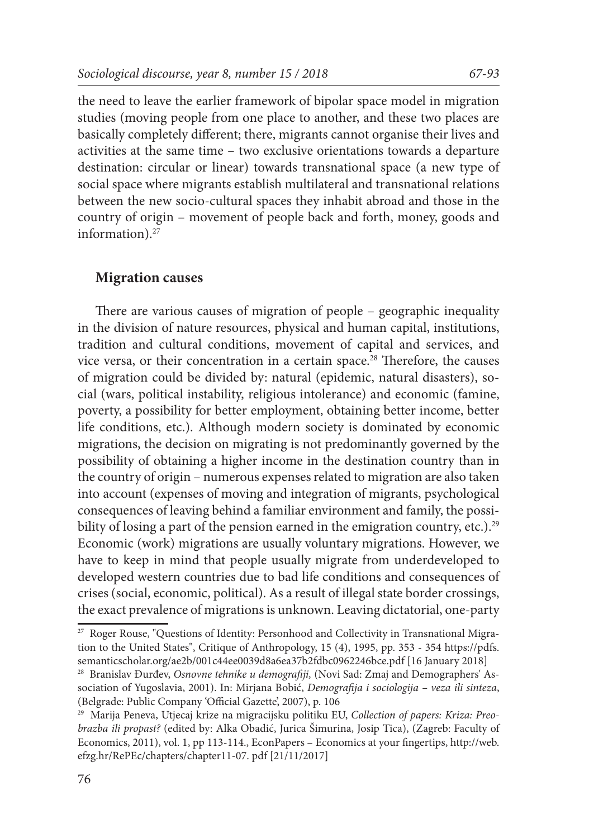the need to leave the earlier framework of bipolar space model in migration studies (moving people from one place to another, and these two places are basically completely different; there, migrants cannot organise their lives and activities at the same time – two exclusive orientations towards a departure destination: circular or linear) towards transnational space (a new type of social space where migrants establish multilateral and transnational relations between the new socio-cultural spaces they inhabit abroad and those in the country of origin – movement of people back and forth, money, goods and information).<sup>27</sup>

#### **Migration causes**

There are various causes of migration of people – geographic inequality in the division of nature resources, physical and human capital, institutions, tradition and cultural conditions, movement of capital and services, and vice versa, or their concentration in a certain space.<sup>28</sup> Therefore, the causes of migration could be divided by: natural (epidemic, natural disasters), social (wars, political instability, religious intolerance) and economic (famine, poverty, a possibility for better employment, obtaining better income, better life conditions, etc.). Although modern society is dominated by economic migrations, the decision on migrating is not predominantly governed by the possibility of obtaining a higher income in the destination country than in the country of origin – numerous expenses related to migration are also taken into account (expenses of moving and integration of migrants, psychological consequences of leaving behind a familiar environment and family, the possibility of losing a part of the pension earned in the emigration country, etc.).<sup>29</sup> Economic (work) migrations are usually voluntary migrations. However, we have to keep in mind that people usually migrate from underdeveloped to developed western countries due to bad life conditions and consequences of crises (social, economic, political). As a result of illegal state border crossings, the exact prevalence of migrations is unknown. Leaving dictatorial, one-party

<sup>27</sup> Roger Rouse, "Questions of Identity: Personhood and Collectivity in Transnational Migration to the United States", Critique of Anthropology, 15 (4), 1995, рp. 353 - 354 https://pdfs. semanticscholar.org/ae2b/001c44ee0039d8a6ea37b2fdbc0962246bce.pdf [16 January 2018] 28 Branislav Đurđev, *Osnovne tehnike u demografiji,* (Novi Sad: Zmaj and Demographers' As-

sociation of Yugoslavia, 2001). In: Mirjana Bobić, *Demografija i sociologija – veza ili sinteza*, (Belgrade: Public Company 'Official Gazette', 2007), p. 106

<sup>29</sup> Marija Peneva, Utjecaj krize na migracijsku politiku EU, *Collection of papers: Kriza: Preobrazba ili propast?* (edited by: Alka Obadić, Jurica Šimurina, Josip Tica), (Zagreb: Faculty of Economics, 2011), vol. 1, pp 113-114., EconPapers – Economics at your fingertips, http://web. efzg.hr/RePEc/chapters/chapter11-07. pdf [21/11/2017]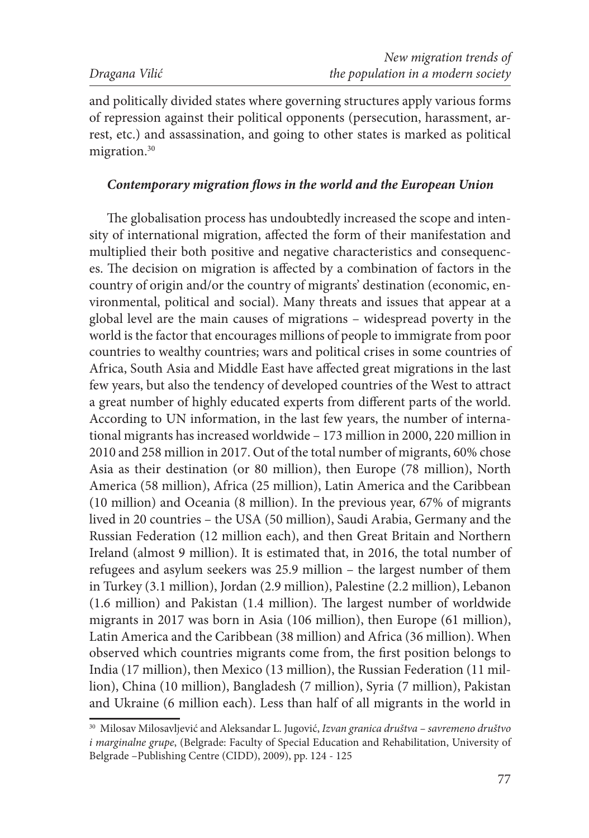and politically divided states where governing structures apply various forms of repression against their political opponents (persecution, harassment, arrest, etc.) and assassination, and going to other states is marked as political migration.<sup>30</sup>

#### *Contemporary migration flows in the world and the European Union*

The globalisation process has undoubtedly increased the scope and intensity of international migration, affected the form of their manifestation and multiplied their both positive and negative characteristics and consequences. The decision on migration is affected by a combination of factors in the country of origin and/or the country of migrants' destination (economic, environmental, political and social). Many threats and issues that appear at a global level are the main causes of migrations – widespread poverty in the world is the factor that encourages millions of people to immigrate from poor countries to wealthy countries; wars and political crises in some countries of Africa, South Asia and Middle East have affected great migrations in the last few years, but also the tendency of developed countries of the West to attract a great number of highly educated experts from different parts of the world. According to UN information, in the last few years, the number of international migrants has increased worldwide – 173 million in 2000, 220 million in 2010 and 258 million in 2017. Out of the total number of migrants, 60% chose Asia as their destination (or 80 million), then Europe (78 million), North America (58 million), Africa (25 million), Latin America and the Caribbean (10 million) and Oceania (8 million). In the previous year, 67% of migrants lived in 20 countries – the USA (50 million), Saudi Arabia, Germany and the Russian Federation (12 million each), and then Great Britain and Northern Ireland (almost 9 million). It is estimated that, in 2016, the total number of refugees and asylum seekers was 25.9 million – the largest number of them in Turkey (3.1 million), Jordan (2.9 million), Palestine (2.2 million), Lebanon (1.6 million) and Pakistan (1.4 million). The largest number of worldwide migrants in 2017 was born in Asia (106 million), then Europe (61 million), Latin America and the Caribbean (38 million) and Africa (36 million). When observed which countries migrants come from, the first position belongs to India (17 million), then Mexico (13 million), the Russian Federation (11 million), China (10 million), Bangladesh (7 million), Syria (7 million), Pakistan and Ukraine (6 million each). Less than half of all migrants in the world in

<sup>30</sup> Milosav Milosavljević and Aleksandar L. Jugović, *Izvan granica društva – savremeno društvo i marginalne grupe*, (Belgrade: Faculty of Special Education and Rehabilitation, University of Belgrade –Publishing Centre (CIDD), 2009), pp. 124 - 125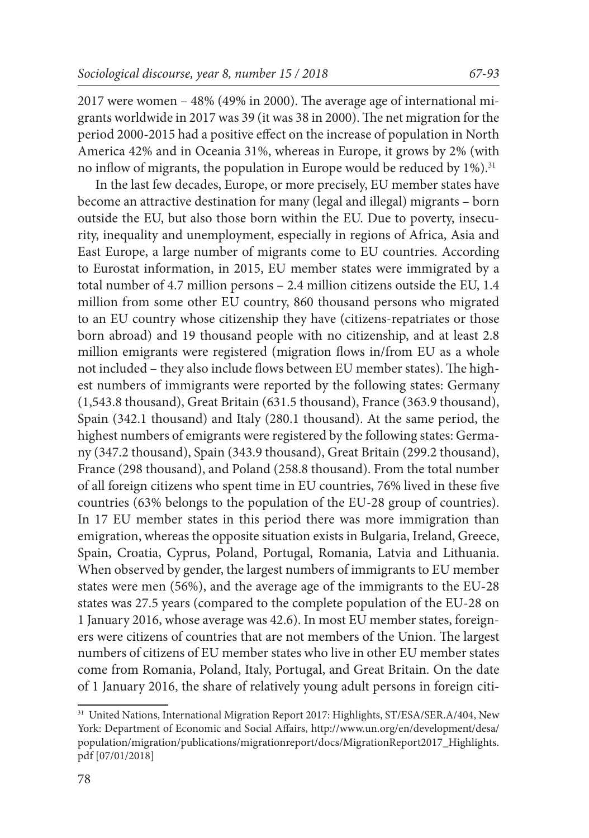2017 were women – 48% (49% in 2000). The average age of international migrants worldwide in 2017 was 39 (it was 38 in 2000). The net migration for the period 2000-2015 had a positive effect on the increase of population in North America 42% and in Oceania 31%, whereas in Europe, it grows by 2% (with no inflow of migrants, the population in Europe would be reduced by  $1\%$ .<sup>31</sup>

In the last few decades, Europe, or more precisely, EU member states have become an attractive destination for many (legal and illegal) migrants – born outside the EU, but also those born within the EU. Due to poverty, insecurity, inequality and unemployment, especially in regions of Africa, Asia and East Europe, a large number of migrants come to EU countries. According to Eurostat information, in 2015, EU member states were immigrated by a total number of 4.7 million persons – 2.4 million citizens outside the EU, 1.4 million from some other EU country, 860 thousand persons who migrated to an EU country whose citizenship they have (citizens-repatriates or those born abroad) and 19 thousand people with no citizenship, and at least 2.8 million emigrants were registered (migration flows in/from EU as a whole not included – they also include flows between EU member states). The highest numbers of immigrants were reported by the following states: Germany (1,543.8 thousand), Great Britain (631.5 thousand), France (363.9 thousand), Spain (342.1 thousand) and Italy (280.1 thousand). At the same period, the highest numbers of emigrants were registered by the following states: Germany (347.2 thousand), Spain (343.9 thousand), Great Britain (299.2 thousand), France (298 thousand), and Poland (258.8 thousand). From the total number of all foreign citizens who spent time in EU countries, 76% lived in these five countries (63% belongs to the population of the EU-28 group of countries). In 17 EU member states in this period there was more immigration than emigration, whereas the opposite situation exists in Bulgaria, Ireland, Greece, Spain, Croatia, Cyprus, Poland, Portugal, Romania, Latvia and Lithuania. When observed by gender, the largest numbers of immigrants to EU member states were men (56%), and the average age of the immigrants to the EU-28 states was 27.5 years (compared to the complete population of the EU-28 on 1 January 2016, whose average was 42.6). In most EU member states, foreigners were citizens of countries that are not members of the Union. The largest numbers of citizens of EU member states who live in other EU member states come from Romania, Poland, Italy, Portugal, and Great Britain. On the date of 1 January 2016, the share of relatively young adult persons in foreign citi-

<sup>&</sup>lt;sup>31</sup> United Nations, International Migration Report 2017: Highlights, ST/ESA/SER.A/404, New York: Department of Economic and Social Affairs, http://www.un.org/en/development/desa/ population/migration/publications/migrationreport/docs/MigrationReport2017\_Highlights. pdf [07/01/2018]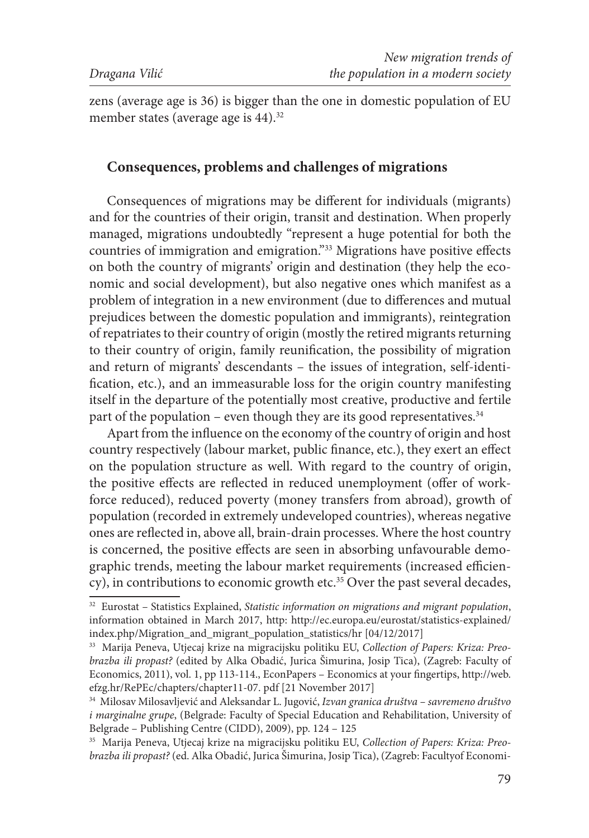zens (average age is 36) is bigger than the one in domestic population of EU member states (average age is 44).<sup>32</sup>

### **Consequences, problems and challenges of migrations**

Consequences of migrations may be different for individuals (migrants) and for the countries of their origin, transit and destination. When properly managed, migrations undoubtedly ''represent a huge potential for both the countries of immigration and emigration."33 Migrations have positive effects on both the country of migrants' origin and destination (they help the economic and social development), but also negative ones which manifest as a problem of integration in a new environment (due to differences and mutual prejudices between the domestic population and immigrants), reintegration of repatriates to their country of origin (mostly the retired migrants returning to their country of origin, family reunification, the possibility of migration and return of migrants' descendants – the issues of integration, self-identification, etc.), and an immeasurable loss for the origin country manifesting itself in the departure of the potentially most creative, productive and fertile part of the population – even though they are its good representatives. $34$ 

Apart from the influence on the economy of the country of origin and host country respectively (labour market, public finance, etc.), they exert an effect on the population structure as well. With regard to the country of origin, the positive effects are reflected in reduced unemployment (offer of workforce reduced), reduced poverty (money transfers from abroad), growth of population (recorded in extremely undeveloped countries), whereas negative ones are reflected in, above all, brain-drain processes. Where the host country is concerned, the positive effects are seen in absorbing unfavourable demographic trends, meeting the labour market requirements (increased efficiency), in contributions to economic growth etc.<sup>35</sup> Over the past several decades,

<sup>32</sup> Eurostat – Statistics Explained, *Statistic information on migrations and migrant population*, information obtained in March 2017, http: http://ec.europa.eu/eurostat/statistics-explained/<br>index.php/Migration and migrant population statistics/hr [04/12/2017]

<sup>&</sup>lt;sup>33</sup> Marija Peneva, Utjecaj krize na migracijsku politiku EU, *Collection of Papers: Kriza: Preobrazba ili propast?* (edited by Alka Obadić, Jurica Šimurina, Josip Tica), (Zagreb: Faculty of Economics, 2011), vol. 1, pp 113-114., EconPapers – Economics at your fingertips, http://web. efzg.hr/RePEc/chapters/chapter11-07. pdf [21 November 2017]

<sup>34</sup> Milosav Milosavljević and Aleksandar L. Jugović, *Izvan granica društva – savremeno društvo i marginalne grupe*, (Belgrade: Faculty of Special Education and Rehabilitation, University of Belgrade – Publishing Centre (CIDD), 2009), pp. 124 – 125

<sup>35</sup> Marija Peneva, Utjecaj krize na migracijsku politiku EU, *Collection of Papers: Kriza: Preobrazba ili propast?* (ed. Alka Obadić, Jurica Šimurina, Josip Tica), (Zagreb: Facultyof Economi-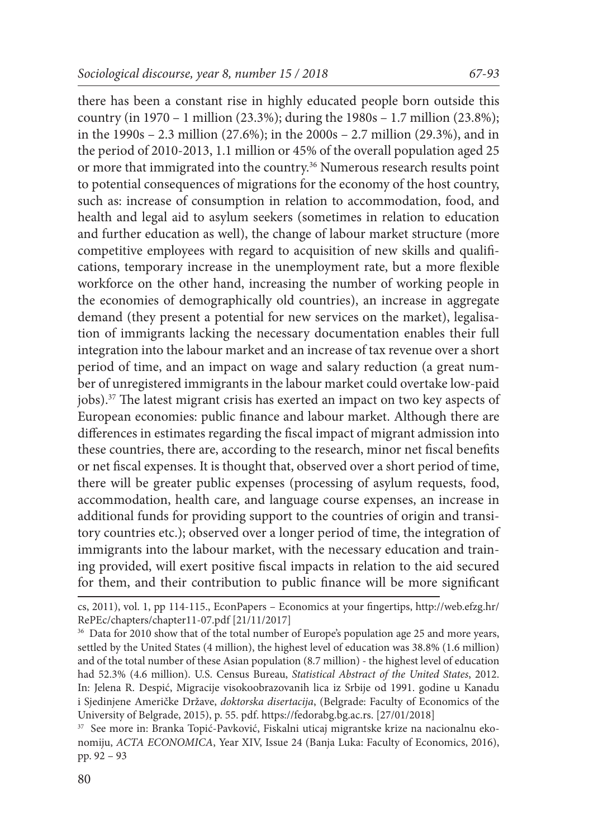there has been a constant rise in highly educated people born outside this country (in 1970 – 1 million (23.3%); during the 1980s – 1.7 million (23.8%); in the 1990s – 2.3 million (27.6%); in the 2000s – 2.7 million (29.3%), and in the period of 2010-2013, 1.1 million or 45% of the overall population aged 25 or more that immigrated into the country.36 Numerous research results point to potential consequences of migrations for the economy of the host country, such as: increase of consumption in relation to accommodation, food, and health and legal aid to asylum seekers (sometimes in relation to education and further education as well), the change of labour market structure (more competitive employees with regard to acquisition of new skills and qualifications, temporary increase in the unemployment rate, but a more flexible workforce on the other hand, increasing the number of working people in the economies of demographically old countries), an increase in aggregate demand (they present a potential for new services on the market), legalisation of immigrants lacking the necessary documentation enables their full integration into the labour market and an increase of tax revenue over a short period of time, and an impact on wage and salary reduction (a great number of unregistered immigrants in the labour market could overtake low-paid jobs).37 The latest migrant crisis has exerted an impact on two key aspects of European economies: public finance and labour market. Although there are differences in estimates regarding the fiscal impact of migrant admission into these countries, there are, according to the research, minor net fiscal benefits or net fiscal expenses. It is thought that, observed over a short period of time, there will be greater public expenses (processing of asylum requests, food, accommodation, health care, and language course expenses, an increase in additional funds for providing support to the countries of origin and transitory countries etc.); observed over a longer period of time, the integration of immigrants into the labour market, with the necessary education and training provided, will exert positive fiscal impacts in relation to the aid secured for them, and their contribution to public finance will be more significant

37 See more in: Branka Topić-Pavković, Fiskalni uticaj migrantske krize na nacionalnu ekonomiju, *ACTA ECONOMICA*, Year XIV, Issue 24 (Banja Luka: Faculty of Economics, 2016), pp. 92 – 93

cs, 2011), vol. 1, pp 114-115., EconPapers – Economics at your fingertips, http://web.efzg.hr/ RePEc/chapters/chapter11-07.pdf [21/11/2017]

<sup>&</sup>lt;sup>36</sup> Data for 2010 show that of the total number of Europe's population age 25 and more years, settled by the United States (4 million), the highest level of education was 38.8% (1.6 million) and of the total number of these Asian population (8.7 million) - the highest level of education had 52.3% (4.6 million). U.S. Census Bureau, *Statistical Abstract of the United States*, 2012. In: Jelena R. Despić, Migracije visokoobrazovanih lica iz Srbije od 1991. godine u Kanadu i Sjedinjene Američke Države, *doktorska disertacija*, (Belgrade: Faculty of Economics of the University of Belgrade, 2015), p. 55. pdf. https://fedorabg.bg.ac.rs. [27/01/2018]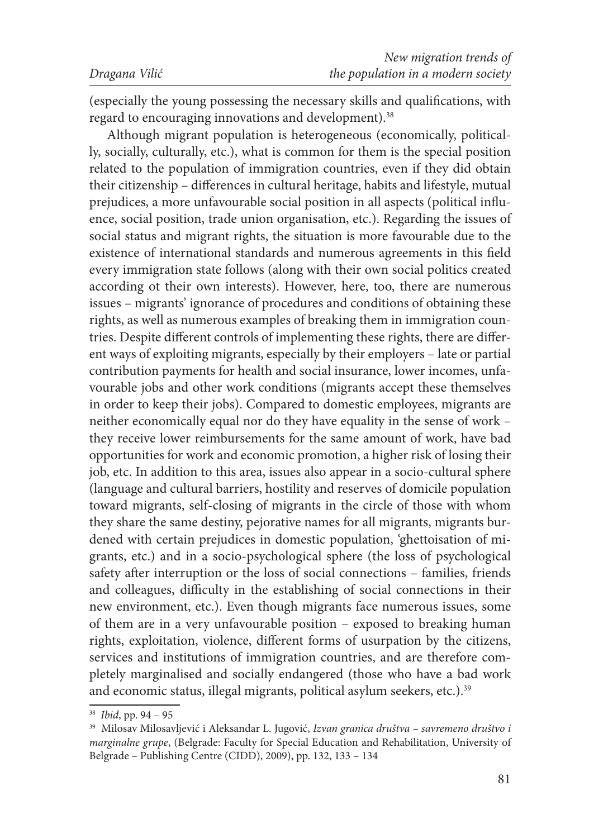(especially the young possessing the necessary skills and qualifications, with regard to encouraging innovations and development).<sup>38</sup>

Although migrant population is heterogeneous (economically, politically, socially, culturally, etc.), what is common for them is the special position related to the population of immigration countries, even if they did obtain their citizenship – differences in cultural heritage, habits and lifestyle, mutual prejudices, a more unfavourable social position in all aspects (political influence, social position, trade union organisation, etc.). Regarding the issues of social status and migrant rights, the situation is more favourable due to the existence of international standards and numerous agreements in this field every immigration state follows (along with their own social politics created according ot their own interests). However, here, too, there are numerous issues – migrants' ignorance of procedures and conditions of obtaining these rights, as well as numerous examples of breaking them in immigration countries. Despite different controls of implementing these rights, there are different ways of exploiting migrants, especially by their employers – late or partial contribution payments for health and social insurance, lower incomes, unfavourable jobs and other work conditions (migrants accept these themselves in order to keep their jobs). Compared to domestic employees, migrants are neither economically equal nor do they have equality in the sense of work – they receive lower reimbursements for the same amount of work, have bad opportunities for work and economic promotion, a higher risk of losing their job, etc. In addition to this area, issues also appear in a socio-cultural sphere (language and cultural barriers, hostility and reserves of domicile population toward migrants, self-closing of migrants in the circle of those with whom they share the same destiny, pejorative names for all migrants, migrants burdened with certain prejudices in domestic population, 'ghettoisation of migrants, etc.) and in a socio-psychological sphere (the loss of psychological safety after interruption or the loss of social connections – families, friends and colleagues, difficulty in the establishing of social connections in their new environment, etc.). Even though migrants face numerous issues, some of them are in a very unfavourable position – exposed to breaking human rights, exploitation, violence, different forms of usurpation by the citizens, services and institutions of immigration countries, and are therefore completely marginalised and socially endangered (those who have a bad work and economic status, illegal migrants, political asylum seekers, etc.).<sup>39</sup>

<sup>38</sup> *Ibid*, pp. 94 – 95

<sup>39</sup> Milosav Milosavljević i Aleksandar L. Jugović, *Izvan granica društva – savremeno društvo i marginalne grupe*, (Belgrade: Faculty for Special Education and Rehabilitation, University of Belgrade – Publishing Centre (CIDD), 2009), pp. 132, 133 – 134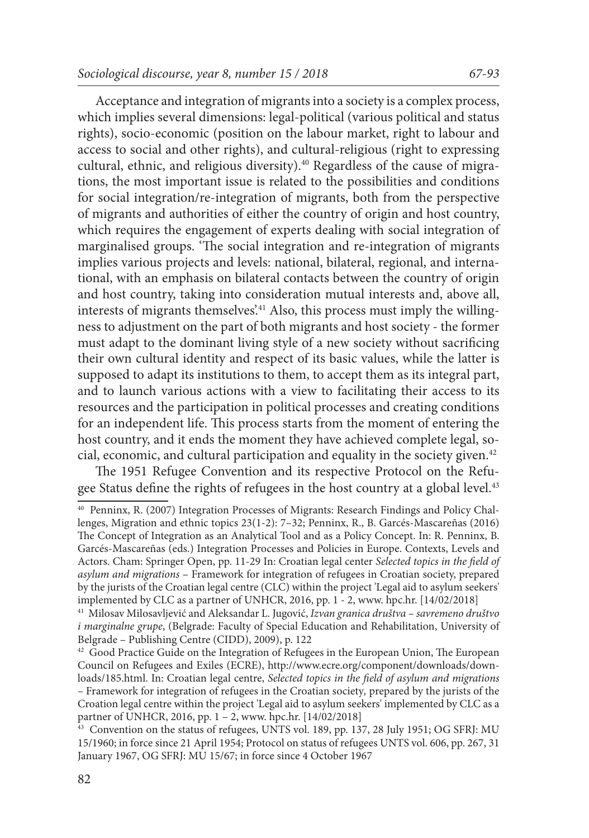Acceptance and integration of migrants into a society is a complex process, which implies several dimensions: legal-political (various political and status rights), socio-economic (position on the labour market, right to labour and access to social and other rights), and cultural-religious (right to expressing cultural, ethnic, and religious diversity).<sup>40</sup> Regardless of the cause of migrations, the most important issue is related to the possibilities and conditions for social integration/re-integration of migrants, both from the perspective of migrants and authorities of either the country of origin and host country, which requires the engagement of experts dealing with social integration of marginalised groups. 'The social integration and re-integration of migrants implies various projects and levels: national, bilateral, regional, and international, with an emphasis on bilateral contacts between the country of origin and host country, taking into consideration mutual interests and, above all, interests of migrants themselves.<sup>241</sup> Also, this process must imply the willingness to adjustment on the part of both migrants and host society - the former must adapt to the dominant living style of a new society without sacrificing their own cultural identity and respect of its basic values, while the latter is supposed to adapt its institutions to them, to accept them as its integral part, and to launch various actions with a view to facilitating their access to its resources and the participation in political processes and creating conditions for an independent life. This process starts from the moment of entering the host country, and it ends the moment they have achieved complete legal, social, economic, and cultural participation and equality in the society given.<sup>42</sup>

The 1951 Refugee Convention and its respective Protocol on the Refugee Status define the rights of refugees in the host country at a global level.<sup>43</sup>

<sup>40</sup> Penninx, R. (2007) Integration Processes of Migrants: Research Findings and Policy Challenges, Migration and ethnic topics 23(1-2): 7–32; Penninx, R., B. Garcés-Mascareñas (2016) The Concept of Integration as an Analytical Tool and as a Policy Concept. In: R. Penninx, B. Garcés-Mascareñas (eds.) Integration Processes and Policies in Europe. Contexts, Levels and Actors. Cham: Springer Open, pp. 11-29 In: Croatian legal center *Selected topics in the field of asylum and migrations* – Framework for integration of refugees in Croatian society, prepared by the jurists of the Croatian legal centre (CLC) within the project 'Legal aid to asylum seekers' implemented by CLC as a partner of UNHCR, 2016, pp. 1 - 2, www. hpc.hr. [14/02/2018]

<sup>41</sup> Milosav Milosavljević and Aleksandar L. Jugović, *Izvan granica društva – savremeno društvo i marginalne grupe*, (Belgrade: Faculty of Special Education and Rehabilitation, University of Belgrade – Publishing Centre (CIDD), 2009), p. 122

<sup>&</sup>lt;sup>42</sup> Good Practice Guide on the Integration of Refugees in the European Union, The European Council on Refugees and Exiles (ECRE), http://www.ecre.org/component/downloads/downloads/185.html. In: Croatian legal centre, *Selected topics in the field of asylum and migrations –* Framework for integration of refugees in the Croatian society*,* prepared by the jurists of the Croation legal centre within the project 'Legal aid to asylum seekers' implemented by CLC as a partner of UNHCR, 2016, pp. 1 – 2, www. hpc.hr. [14/02/2018]

<sup>43</sup> Convention on the status of refugees, UNTS vol. 189, pp. 137, 28 July 1951; OG SFRJ: MU 15/1960; in force since 21 April 1954; Protocol on status of refugees UNTS vol. 606, pp. 267, 31 January 1967, OG SFRJ: MU 15/67; in force since 4 October 1967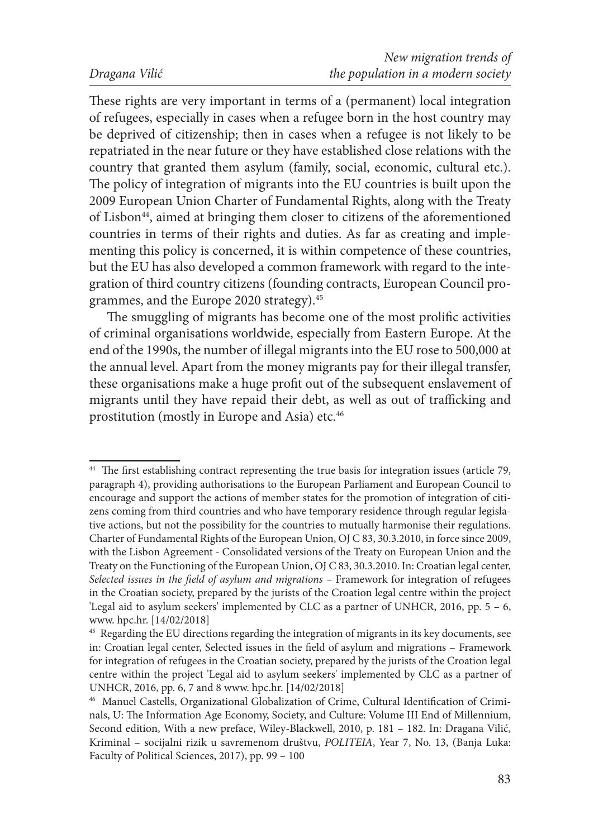These rights are very important in terms of a (permanent) local integration of refugees, especially in cases when a refugee born in the host country may be deprived of citizenship; then in cases when a refugee is not likely to be repatriated in the near future or they have established close relations with the country that granted them asylum (family, social, economic, cultural etc.). The policy of integration of migrants into the EU countries is built upon the 2009 European Union Charter of Fundamental Rights, along with the Treaty of Lisbon<sup>44</sup>, aimed at bringing them closer to citizens of the aforementioned countries in terms of their rights and duties. As far as creating and implementing this policy is concerned, it is within competence of these countries, but the EU has also developed a common framework with regard to the integration of third country citizens (founding contracts, European Council programmes, and the Europe 2020 strategy).45

The smuggling of migrants has become one of the most prolific activities of criminal organisations worldwide, especially from Eastern Europe. At the end of the 1990s, the number of illegal migrants into the EU rose to 500,000 at the annual level. Apart from the money migrants pay for their illegal transfer, these organisations make a huge profit out of the subsequent enslavement of migrants until they have repaid their debt, as well as out of trafficking and prostitution (mostly in Europe and Asia) etc.46

<sup>44</sup> The first establishing contract representing the true basis for integration issues (article 79, paragraph 4), providing authorisations to the European Parliament and European Council to encourage and support the actions of member states for the promotion of integration of citizens coming from third countries and who have temporary residence through regular legislative actions, but not the possibility for the countries to mutually harmonise their regulations. Charter of Fundamental Rights of the European Union, OJ C 83, 30.3.2010, in force since 2009, with the Lisbon Agreement - Consolidated versions of the Treaty on European Union and the Treaty on the Functioning of the European Union, OJ C 83, 30.3.2010. In: Croatian legal center, Selected issues in the field of asylum and migrations – Framework for integration of refugees in the Croatian society, prepared by the jurists of the Croation legal centre within the project 'Legal aid to asylum seekers' implemented by CLC as a partner of UNHCR, 2016, pp. 5 – 6, www. hpc.hr. [14/02/2018]

<sup>45</sup> Regarding the EU directions regarding the integration of migrants in its key documents, see in: Croatian legal center, Selected issues in the field of asylum and migrations – Framework for integration of refugees in the Croatian society, prepared by the jurists of the Croation legal centre within the project 'Legal aid to asylum seekers' implemented by CLC as a partner of UNHCR, 2016, pp. 6, 7 and 8 www. hpc.hr. [14/02/2018]

<sup>46</sup> Manuel Castells, Organizational Globalization of Crime, Cultural Identification of Criminals, U: The Information Age Economy, Society, and Culture: Volume III End of Millennium, Second edition, With a new preface, Wiley-Blackwell, 2010, p. 181 – 182. In: Dragana Vilić, Kriminal – socijalni rizik u savremenom društvu, *POLITEIA*, Year 7, No. 13, (Banja Luka: Faculty of Political Sciences, 2017), pp. 99 – 100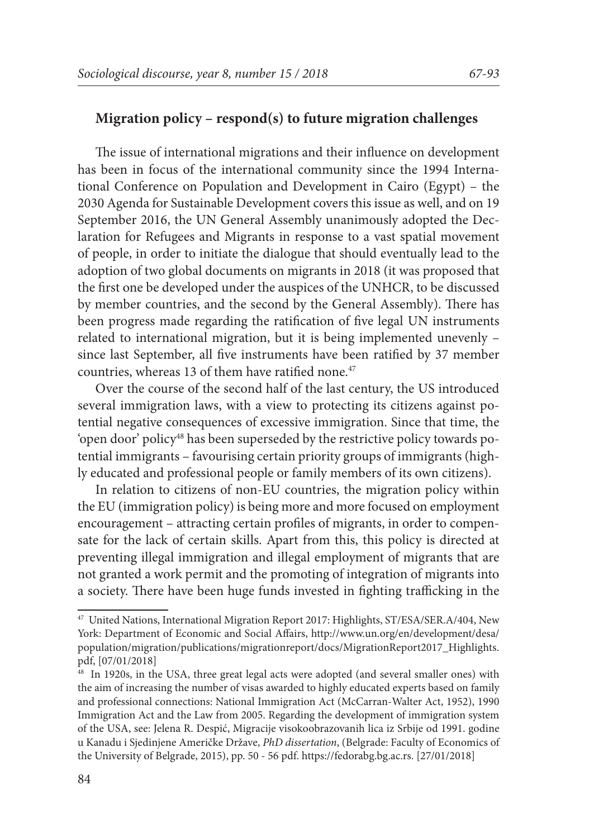#### **Migration policy – respond(s) to future migration challenges**

The issue of international migrations and their influence on development has been in focus of the international community since the 1994 International Conference on Population and Development in Cairo (Egypt) – the 2030 Agenda for Sustainable Development covers this issue as well, and on 19 September 2016, the UN General Assembly unanimously adopted the Declaration for Refugees and Migrants in response to a vast spatial movement of people, in order to initiate the dialogue that should eventually lead to the adoption of two global documents on migrants in 2018 (it was proposed that the first one be developed under the auspices of the UNHCR, to be discussed by member countries, and the second by the General Assembly). There has been progress made regarding the ratification of five legal UN instruments related to international migration, but it is being implemented unevenly – since last September, all five instruments have been ratified by 37 member countries, whereas 13 of them have ratified none.<sup>47</sup>

Over the course of the second half of the last century, the US introduced several immigration laws, with a view to protecting its citizens against potential negative consequences of excessive immigration. Since that time, the 'open door' policy48 has been superseded by the restrictive policy towards potential immigrants – favourising certain priority groups of immigrants (highly educated and professional people or family members of its own citizens).

In relation to citizens of non-EU countries, the migration policy within the EU (immigration policy) is being more and more focused on employment encouragement – attracting certain profiles of migrants, in order to compensate for the lack of certain skills. Apart from this, this policy is directed at preventing illegal immigration and illegal employment of migrants that are not granted a work permit and the promoting of integration of migrants into a society. There have been huge funds invested in fighting trafficking in the

<sup>47</sup> United Nations, International Migration Report 2017: Highlights, ST/ESA/SER.A/404, New York: Department of Economic and Social Affairs, http://www.un.org/en/development/desa/ population/migration/publications/migrationreport/docs/MigrationReport2017\_Highlights. pdf, [07/01/2018]

<sup>48</sup> In 1920s, in the USA, three great legal acts were adopted (and several smaller ones) with the aim of increasing the number of visas awarded to highly educated experts based on family and professional connections: National Immigration Act (McCarran-Walter Act, 1952), 1990 Immigration Act and the Law from 2005. Regarding the development of immigration system of the USA, see: Jelena R. Despić, Migracije visokoobrazovanih lica iz Srbije od 1991. godine u Kanadu i Sjedinjene Američke Države, *PhD dissertation*, (Belgrade: Faculty of Economics of the University of Belgrade, 2015), pp. 50 - 56 pdf. https://fedorabg.bg.ac.rs. [27/01/2018]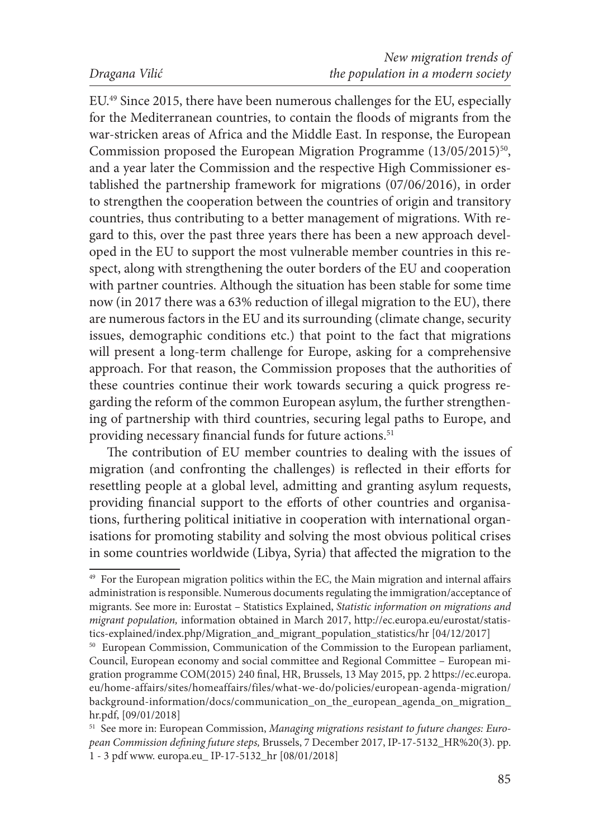EU.49 Since 2015, there have been numerous challenges for the EU, especially for the Mediterranean countries, to contain the floods of migrants from the war-stricken areas of Africa and the Middle East. In response, the European Commission proposed the European Migration Programme  $(13/05/2015)^{50}$ , and a year later the Commission and the respective High Commissioner established the partnership framework for migrations (07/06/2016), in order to strengthen the cooperation between the countries of origin and transitory countries, thus contributing to a better management of migrations. With regard to this, over the past three years there has been a new approach developed in the EU to support the most vulnerable member countries in this respect, along with strengthening the outer borders of the EU and cooperation with partner countries. Although the situation has been stable for some time now (in 2017 there was a 63% reduction of illegal migration to the EU), there are numerous factors in the EU and its surrounding (climate change, security issues, demographic conditions etc.) that point to the fact that migrations will present a long-term challenge for Europe, asking for a comprehensive approach. For that reason, the Commission proposes that the authorities of these countries continue their work towards securing a quick progress regarding the reform of the common European asylum, the further strengthening of partnership with third countries, securing legal paths to Europe, and providing necessary financial funds for future actions.<sup>51</sup>

The contribution of EU member countries to dealing with the issues of migration (and confronting the challenges) is reflected in their efforts for resettling people at a global level, admitting and granting asylum requests, providing financial support to the efforts of other countries and organisations, furthering political initiative in cooperation with international organisations for promoting stability and solving the most obvious political crises in some countries worldwide (Libya, Syria) that affected the migration to the

<sup>&</sup>lt;sup>49</sup> For the European migration politics within the EC, the Main migration and internal affairs administration is responsible. Numerous documents regulating the immigration/acceptance of migrants. See more in: Eurostat – Statistics Explained, *Statistic information on migrations and migrant population,* information obtained in March 2017, http://ec.europa.eu/eurostat/statistics-explained/index.php/Migration\_and\_migrant\_population\_statistics/hr [04/12/2017]

<sup>50</sup> European Commission, Communication of the Commission to the European parliament, Council, European economy and social committee and Regional Committee – European migration programme COM(2015) 240 final, HR, Brussels, 13 May 2015, pp. 2 https://ec.europa. eu/home-affairs/sites/homeaffairs/files/what-we-do/policies/european-agenda-migration/ background-information/docs/communication\_on\_the\_european\_agenda\_on\_migration\_

hr.pdf, [09/01/2018]<br><sup>51</sup> See more in: European Commission, *Managing migrations resistant to future changes: European Commission defining future steps,* Brussels, 7 December 2017, IP-17-5132\_HR%20(3). pp. 1 - 3 pdf www. europa.eu\_ IP-17-5132\_hr [08/01/2018]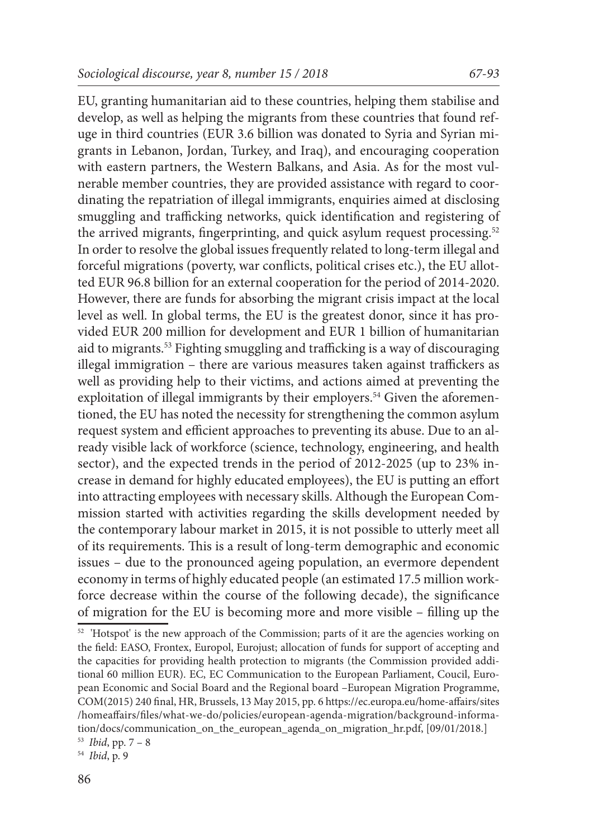EU, granting humanitarian aid to these countries, helping them stabilise and develop, as well as helping the migrants from these countries that found refuge in third countries (EUR 3.6 billion was donated to Syria and Syrian migrants in Lebanon, Jordan, Turkey, and Iraq), and encouraging cooperation with eastern partners, the Western Balkans, and Asia. As for the most vulnerable member countries, they are provided assistance with regard to coordinating the repatriation of illegal immigrants, enquiries aimed at disclosing smuggling and trafficking networks, quick identification and registering of the arrived migrants, fingerprinting, and quick asylum request processing.<sup>52</sup> In order to resolve the global issues frequently related to long-term illegal and forceful migrations (poverty, war conflicts, political crises etc.), the EU allotted EUR 96.8 billion for an external cooperation for the period of 2014-2020. However, there are funds for absorbing the migrant crisis impact at the local level as well. In global terms, the EU is the greatest donor, since it has provided EUR 200 million for development and EUR 1 billion of humanitarian aid to migrants.<sup>53</sup> Fighting smuggling and trafficking is a way of discouraging illegal immigration – there are various measures taken against traffickers as well as providing help to their victims, and actions aimed at preventing the exploitation of illegal immigrants by their employers.<sup>54</sup> Given the aforementioned, the EU has noted the necessity for strengthening the common asylum request system and efficient approaches to preventing its abuse. Due to an already visible lack of workforce (science, technology, engineering, and health sector), and the expected trends in the period of 2012-2025 (up to 23% increase in demand for highly educated employees), the EU is putting an effort into attracting employees with necessary skills. Although the European Commission started with activities regarding the skills development needed by the contemporary labour market in 2015, it is not possible to utterly meet all of its requirements. This is a result of long-term demographic and economic issues – due to the pronounced ageing population, an evermore dependent economy in terms of highly educated people (an estimated 17.5 million workforce decrease within the course of the following decade), the significance of migration for the EU is becoming more and more visible – filling up the

 $52$  'Hotspot' is the new approach of the Commission; parts of it are the agencies working on the field: EASO, Frontex, Europol, Eurojust; allocation of funds for support of accepting and the capacities for providing health protection to migrants (the Commission provided additional 60 million EUR). EC, EC Communication to the European Parliament, Coucil, European Economic and Social Board and the Regional board –European Migration Programme, COM(2015) 240 final, HR, Brussels, 13 May 2015, pp. 6 https://ec.europa.eu/home-affairs/sites /homeaffairs/files/what-we-do/policies/european-agenda-migration/background-information/docs/communication\_on\_the\_european\_agenda\_on\_migration\_hr.pdf, [09/01/2018.]

<sup>53</sup> *Ibid*, pp. 7 – 8

<sup>54</sup> *Ibid*, p. 9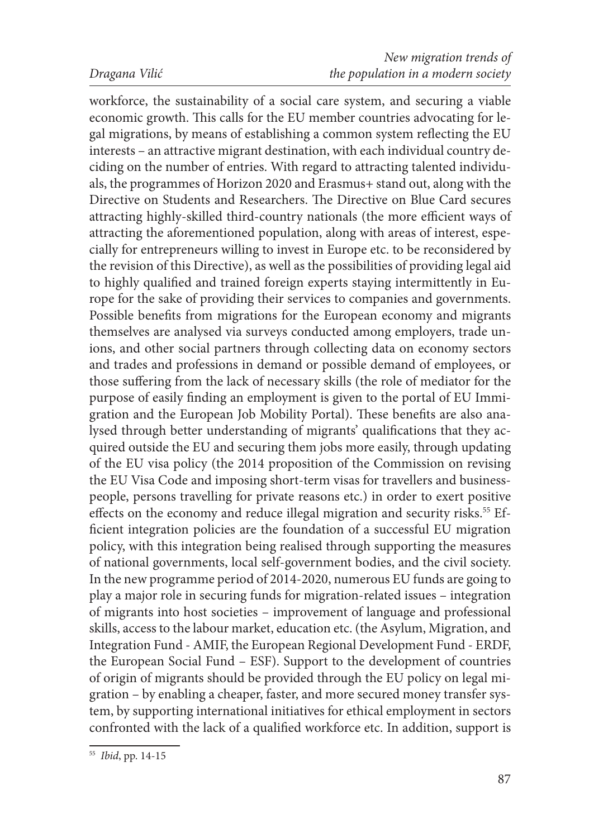workforce, the sustainability of a social care system, and securing a viable economic growth. This calls for the EU member countries advocating for legal migrations, by means of establishing a common system reflecting the EU interests – an attractive migrant destination, with each individual country deciding on the number of entries. With regard to attracting talented individuals, the programmes of Horizon 2020 and Erasmus+ stand out, along with the Directive on Students and Researchers. The Directive on Blue Card secures attracting highly-skilled third-country nationals (the more efficient ways of attracting the aforementioned population, along with areas of interest, especially for entrepreneurs willing to invest in Europe etc. to be reconsidered by the revision of this Directive), as well as the possibilities of providing legal aid to highly qualified and trained foreign experts staying intermittently in Europe for the sake of providing their services to companies and governments. Possible benefits from migrations for the European economy and migrants themselves are analysed via surveys conducted among employers, trade unions, and other social partners through collecting data on economy sectors and trades and professions in demand or possible demand of employees, or those suffering from the lack of necessary skills (the role of mediator for the purpose of easily finding an employment is given to the portal of EU Immigration and the European Job Mobility Portal). These benefits are also analysed through better understanding of migrants' qualifications that they acquired outside the EU and securing them jobs more easily, through updating of the EU visa policy (the 2014 proposition of the Commission on revising the EU Visa Code and imposing short-term visas for travellers and businesspeople, persons travelling for private reasons etc.) in order to exert positive effects on the economy and reduce illegal migration and security risks.<sup>55</sup> Efficient integration policies are the foundation of a successful EU migration policy, with this integration being realised through supporting the measures of national governments, local self-government bodies, and the civil society. In the new programme period of 2014-2020, numerous EU funds are going to play a major role in securing funds for migration-related issues – integration of migrants into host societies – improvement of language and professional skills, access to the labour market, education etc. (the Asylum, Migration, and Integration Fund - AMIF, the European Regional Development Fund - ERDF, the European Social Fund – ESF). Support to the development of countries of origin of migrants should be provided through the EU policy on legal migration – by enabling a cheaper, faster, and more secured money transfer system, by supporting international initiatives for ethical employment in sectors confronted with the lack of a qualified workforce etc. In addition, support is

<sup>55</sup> *Ibid*, pp. 14-15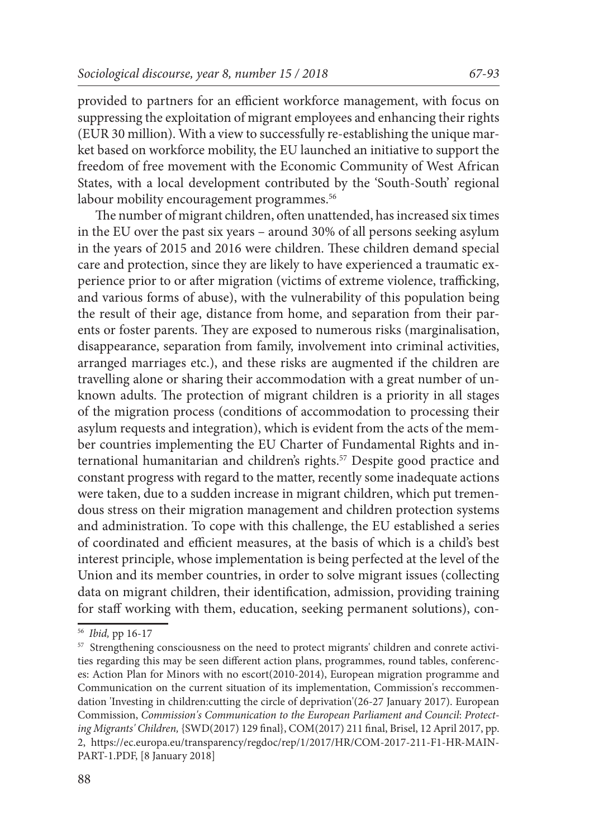provided to partners for an efficient workforce management, with focus on suppressing the exploitation of migrant employees and enhancing their rights (EUR 30 million). With a view to successfully re-establishing the unique market based on workforce mobility, the EU launched an initiative to support the freedom of free movement with the Economic Community of West African States, with a local development contributed by the 'South-South' regional labour mobility encouragement programmes.<sup>56</sup>

The number of migrant children, often unattended, has increased six times in the EU over the past six years – around 30% of all persons seeking asylum in the years of 2015 and 2016 were children. These children demand special care and protection, since they are likely to have experienced a traumatic experience prior to or after migration (victims of extreme violence, trafficking, and various forms of abuse), with the vulnerability of this population being the result of their age, distance from home, and separation from their parents or foster parents. They are exposed to numerous risks (marginalisation, disappearance, separation from family, involvement into criminal activities, arranged marriages etc.), and these risks are augmented if the children are travelling alone or sharing their accommodation with a great number of unknown adults. The protection of migrant children is a priority in all stages of the migration process (conditions of accommodation to processing their asylum requests and integration), which is evident from the acts of the member countries implementing the EU Charter of Fundamental Rights and international humanitarian and children's rights.<sup>57</sup> Despite good practice and constant progress with regard to the matter, recently some inadequate actions were taken, due to a sudden increase in migrant children, which put tremendous stress on their migration management and children protection systems and administration. To cope with this challenge, the EU established a series of coordinated and efficient measures, at the basis of which is a child's best interest principle, whose implementation is being perfected at the level of the Union and its member countries, in order to solve migrant issues (collecting data on migrant children, their identification, admission, providing training for staff working with them, education, seeking permanent solutions), con-

<sup>56</sup> *Ibid,* pp 16-17

<sup>&</sup>lt;sup>57</sup> Strengthening consciousness on the need to protect migrants' children and conrete activities regarding this may be seen different action plans, programmes, round tables, conferences: Action Plan for Minors with no escort(2010-2014), European migration programme and Communication on the current situation of its implementation, Commission's reccommendation 'Investing in children:cutting the circle of deprivation'(26-27 January 2017). European Commission, *Commission's Communication to the European Parliament and Council*: *Protecting Migrants' Children,* {SWD(2017) 129 final}, COM(2017) 211 final, Brisel, 12 April 2017, pp. 2, https://ec.europa.eu/transparency/regdoc/rep/1/2017/HR/COM-2017-211-F1-HR-MAIN-PART-1.PDF, [8 January 2018]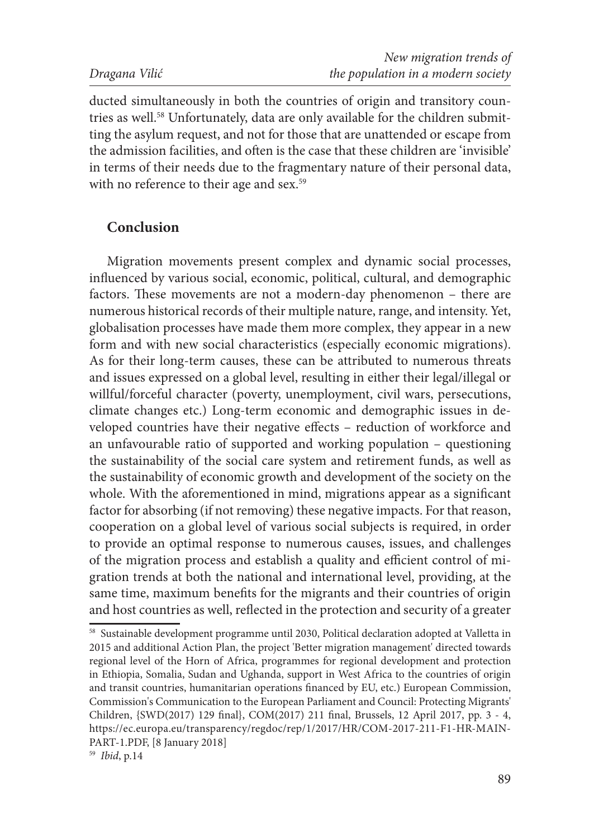ducted simultaneously in both the countries of origin and transitory countries as well.<sup>58</sup> Unfortunately, data are only available for the children submitting the asylum request, and not for those that are unattended or escape from the admission facilities, and often is the case that these children are 'invisible' in terms of their needs due to the fragmentary nature of their personal data, with no reference to their age and sex.<sup>59</sup>

# **Conclusion**

Migration movements present complex and dynamic social processes, influenced by various social, economic, political, cultural, and demographic factors. These movements are not a modern-day phenomenon – there are numerous historical records of their multiple nature, range, and intensity. Yet, globalisation processes have made them more complex, they appear in a new form and with new social characteristics (especially economic migrations). As for their long-term causes, these can be attributed to numerous threats and issues expressed on a global level, resulting in either their legal/illegal or willful/forceful character (poverty, unemployment, civil wars, persecutions, climate changes etc.) Long-term economic and demographic issues in developed countries have their negative effects – reduction of workforce and an unfavourable ratio of supported and working population – questioning the sustainability of the social care system and retirement funds, as well as the sustainability of economic growth and development of the society on the whole. With the aforementioned in mind, migrations appear as a significant factor for absorbing (if not removing) these negative impacts. For that reason, cooperation on a global level of various social subjects is required, in order to provide an optimal response to numerous causes, issues, and challenges of the migration process and establish a quality and efficient control of migration trends at both the national and international level, providing, at the same time, maximum benefits for the migrants and their countries of origin and host countries as well, reflected in the protection and security of a greater

<sup>58</sup> Sustainable development programme until 2030, Political declaration adopted at Valletta in 2015 and additional Action Plan, the project 'Better migration management' directed towards regional level of the Horn of Africa, programmes for regional development and protection in Ethiopia, Somalia, Sudan and Ughanda, support in West Africa to the countries of origin and transit countries, humanitarian operations financed by EU, etc.) European Commission, Commission's Communication to the European Parliament and Council: Protecting Migrants' Children, {SWD(2017) 129 final}, COM(2017) 211 final, Brussels, 12 April 2017, pp. 3 - 4, https://ec.europa.eu/transparency/regdoc/rep/1/2017/HR/COM-2017-211-F1-HR-MAIN-PART-1.PDF, [8 January 2018]

<sup>59</sup> *Ibid*, p.14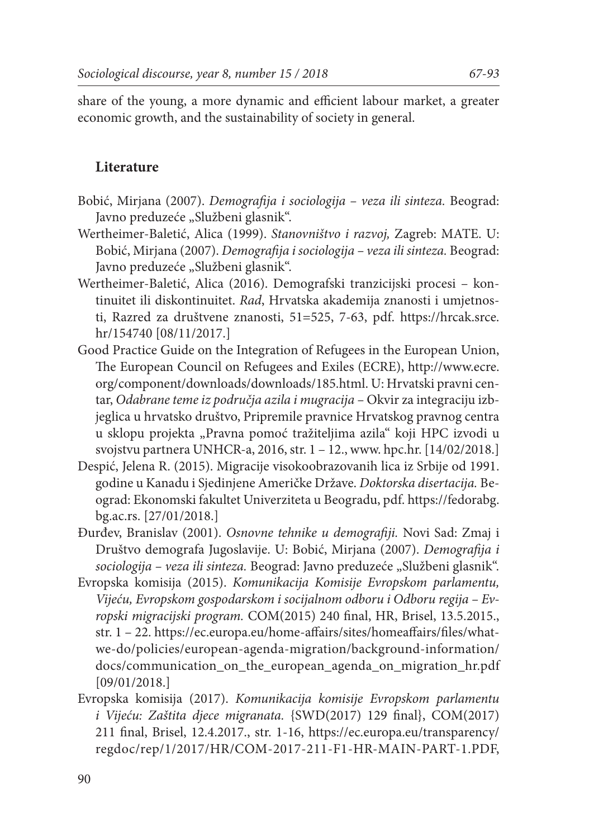share of the young, a more dynamic and efficient labour market, a greater economic growth, and the sustainability of society in general.

# **Literature**

- Bobić, Mirjana (2007). *Demografija i sociologija veza ili sinteza.* Beograd: Javno preduzeće "Službeni glasnik".
- Wertheimer-Baletić, Alica (1999). *Stanovništvo i razvoj,* Zagreb: MATE. U: Bobić, Mirjana (2007). *Demografija i sociologija – veza ili sinteza.* Beograd: Javno preduzeće "Službeni glasnik".
- Wertheimer-Baletić, Alica (2016). Demografski tranzicijski procesi kontinuitet ili diskontinuitet. *Rad*, Hrvatska akademija znanosti i umjetnosti, Razred za društvene znanosti, 51=525, 7-63, pdf. https://hrcak.srce. hr/154740 [08/11/2017.]
- Good Practice Guide on the Integration of Refugees in the European Union, The European Council on Refugees and Exiles (ECRE), http://www.ecre. org/component/downloads/downloads/185.html. U: Hrvatski pravni centar, *Odabrane teme iz područja azila i mugracija –* Okvir za integraciju izbjeglica u hrvatsko društvo, Pripremile pravnice Hrvatskog pravnog centra u sklopu projekta "Pravna pomoć tražiteljima azila" koji HPC izvodi u svojstvu partnera UNHCR-a, 2016, str. 1 – 12., www. hpc.hr. [14/02/2018.]
- Despić, Jelena R. (2015). Migracije visokoobrazovanih lica iz Srbije od 1991. godine u Kanadu i Sjedinjene Američke Države. *Doktorska disertacija.* Beograd: Ekonomski fakultet Univerziteta u Beogradu, pdf. https://fedorabg. bg.ac.rs. [27/01/2018.]
- Đurđev, Branislav (2001). *Osnovne tehnike u demografiji.* Novi Sad: Zmaj i Društvo demografa Jugoslavije. U: Bobić, Mirjana (2007). *Demografija i sociologija – veza ili sinteza.* Beograd: Javno preduzeće "Službeni glasnik".
- Evropska komisija (2015). *Komunikacija Komisije Evropskom parlamentu, Vijeću, Evropskom gospodarskom i socijalnom odboru i Odboru regija – Evropski migracijski program.* COM(2015) 240 final, HR, Brisel, 13.5.2015., str. 1 – 22. https://ec.europa.eu/home-affairs/sites/homeaffairs/files/whatwe-do/policies/european-agenda-migration/background-information/ docs/communication\_on\_the\_european\_agenda\_on\_migration\_hr.pdf [09/01/2018.]
- Evropska komisija (2017). *Komunikacija komisije Evropskom parlamentu i Vijeću: Zaštita djece migranata.* {SWD(2017) 129 final}, COM(2017) 211 final, Brisel, 12.4.2017., str. 1-16, https://ec.europa.eu/transparency/ regdoc/rep/1/2017/HR/COM-2017-211-F1-HR-MAIN-PART-1.PDF,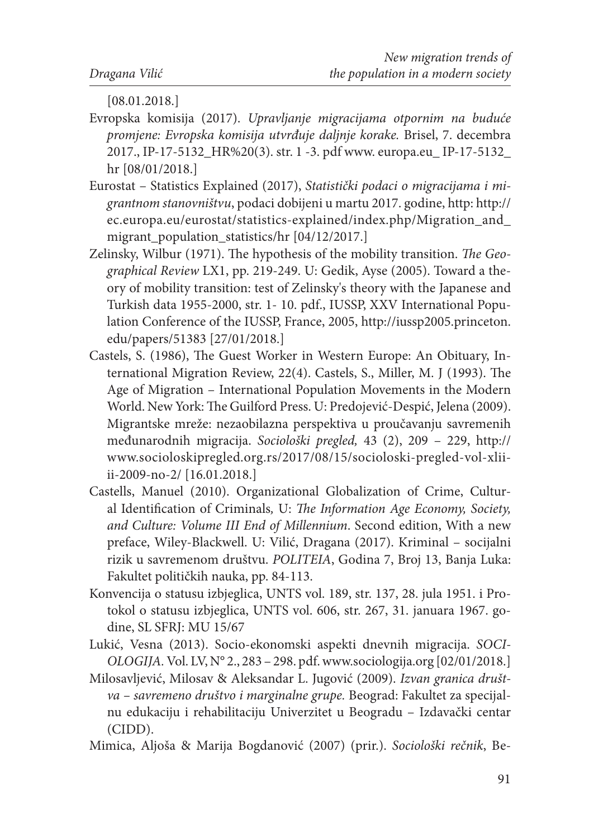[08.01.2018.]

- Evropska komisija (2017). *Upravljanje migracijama otpornim na buduće promjene: Evropska komisija utvrđuje daljnje korake.* Brisel, 7. decembra 2017., IP-17-5132\_HR%20(3). str. 1 -3. pdf www. europa.eu\_ IP-17-5132\_ hr [08/01/2018.]
- Eurostat Statistics Explained (2017), *Statistički podaci o migracijama i migrantnom stanovništvu*, podaci dobijeni u martu 2017. godine, http: http:// ec.europa.eu/eurostat/statistics-explained/index.php/Migration\_and\_ migrant population statistics/hr  $[04/12/2017.]$
- Zelinsky, Wilbur (1971). The hypothesis of the mobility transition. *The Geographical Review* LX1, pp. 219-249. U: Gedik, Ayse (2005). Toward a theory of mobility transition: test of Zelinsky's theory with the Japanese and Turkish data 1955-2000, str. 1- 10. pdf., IUSSP, XXV International Population Conference of the IUSSP, France, 2005, http://iussp2005.princeton. edu/papers/51383 [27/01/2018.]
- Castels, S. (1986), The Guest Worker in Western Europe: An Obituary, International Migration Review, 22(4). Castels, S., Miller, M. J (1993). The Age of Migration – International Population Movements in the Modern World. New York: The Guilford Press. U: Predojević-Despić, Jelena (2009). Migrantske mreže: nezaobilazna perspektiva u proučavanju savremenih međunarodnih migracija. *Sociološki pregled,* 43 (2), 209 – 229, http:// www.socioloskipregled.org.rs/2017/08/15/socioloski-pregled-vol-xliiii-2009-no-2/ [16.01.2018.]
- Castells, Manuel (2010). Organizational Globalization of Crime, Cultural Identification of Criminals*,* U: *The Information Age Economy, Society, and Culture: Volume III End of Millennium*. Second edition, With a new preface, Wiley-Blackwell. U: Vilić, Dragana (2017). Kriminal – socijalni rizik u savremenom društvu. *POLITEIA*, Godina 7, Broj 13, Banja Luka: Fakultet političkih nauka, pp. 84-113.
- Konvencija o statusu izbjeglica, UNTS vol. 189, str. 137, 28. jula 1951. i Protokol o statusu izbjeglica, UNTS vol. 606, str. 267, 31. januara 1967. godine, SL SFRJ: MU 15/67
- Lukić, Vesna (2013). Socio-ekonomski aspekti dnevnih migracija. *SOCI-OLOGIJA.* Vol. LV, N° 2., 283 – 298. pdf. www.sociologija.org [02/01/2018.]
- Milosavljević, Milosav & Aleksandar L. Jugović (2009). *Izvan granica društva – savremeno društvo i marginalne grupe.* Beograd: Fakultet za specijalnu edukaciju i rehabilitaciju Univerzitet u Beogradu – Izdavački centar (CIDD).
- Mimica, Aljoša & Marija Bogdanović (2007) (prir.). *Sociološki rečnik*, Be-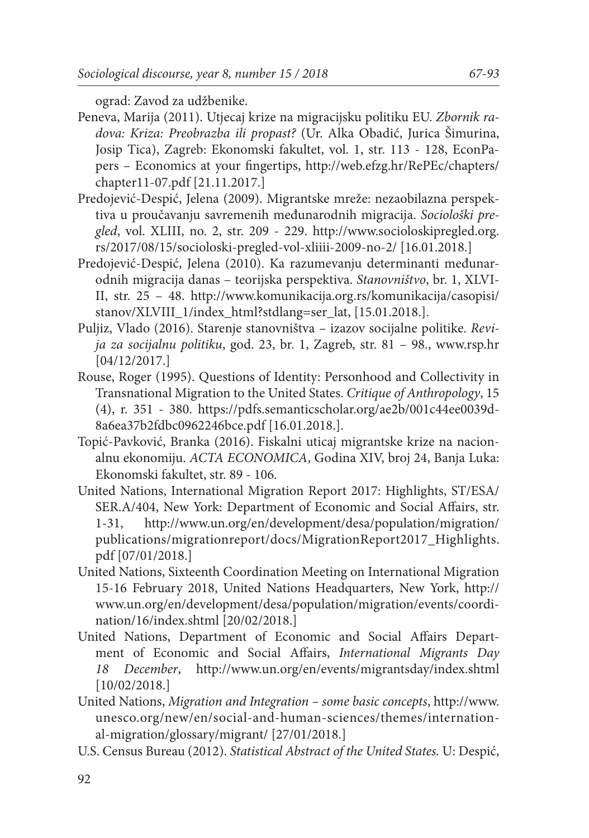ograd: Zavod za udžbenike.

- Peneva, Marija (2011). Utjecaj krize na migracijsku politiku EU. *Zbornik radova: Kriza: Preobrazba ili propast?* (Ur. Alka Obadić, Jurica Šimurina, Josip Tica), Zagreb: Ekonomski fakultet, vol. 1, str. 113 - 128, EconPapers – Economics at your fingertips, http://web.efzg.hr/RePEc/chapters/ chapter11-07.pdf [21.11.2017.]
- Predojević-Despić, Jelena (2009). Migrantske mreže: nezaobilazna perspektiva u proučavanju savremenih međunarodnih migracija. *Sociološki pregled*, vol. XLIII, no. 2, str. 209 - 229. http://www.socioloskipregled.org. rs/2017/08/15/socioloski-pregled-vol-xliiii-2009-no-2/ [16.01.2018.]
- Predojević-Despić, Jelena (2010). Ka razumevanju determinanti međunarodnih migracija danas – teorijska perspektiva. *Stanovništvo*, br. 1, XLVI-II, str. 25 – 48. http://www.komunikacija.org.rs/komunikacija/casopisi/ stanov/XLVIII\_1/index\_html?stdlang=ser\_lat, [15.01.2018.].
- Puljiz, Vlado (2016). Starenje stanovništva izazov socijalne politike. *Revija za socijalnu politiku*, god. 23, br. 1, Zagreb, str. 81 – 98., www.rsp.hr [04/12/2017.]
- Rouse, Roger (1995). Questions of Identity: Personhood and Collectivity in Transnational Migration to the United States. *Critique of Anthropology*, 15 (4), r. 351 - 380. https://pdfs.semanticscholar.org/ae2b/001c44ee0039d-8a6ea37b2fdbc0962246bce.pdf [16.01.2018.].
- Topić-Pavković, Branka (2016). Fiskalni uticaj migrantske krize na nacionalnu ekonomiju. *ACTA ECONOMICA*, Godina XIV, broj 24, Banja Luka: Ekonomski fakultet, str. 89 - 106.
- United Nations, International Migration Report 2017: Highlights, ST/ESA/ SER.A/404, New York: Department of Economic and Social Affairs, str. 1-31, http://www.un.org/en/development/desa/population/migration/ publications/migrationreport/docs/MigrationReport2017\_Highlights. pdf [07/01/2018.]
- United Nations, Sixteenth Coordination Meeting on International Migration 15-16 February 2018, United Nations Headquarters, New York, http:// www.un.org/en/development/desa/population/migration/events/coordination/16/index.shtml [20/02/2018.]
- United Nations, Department of Economic and Social Affairs Department of Economic and Social Affairs, *International Migrants Day 18 December*, http://www.un.org/en/events/migrantsday/index.shtml [10/02/2018.]
- United Nations, *Migration and Integration some basic concepts*, http://www. unesco.org/new/en/social-and-human-sciences/themes/international-migration/glossary/migrant/ [27/01/2018.]
- U.S. Census Bureau (2012). *Statistical Abstract of the United States.* U: Despić,